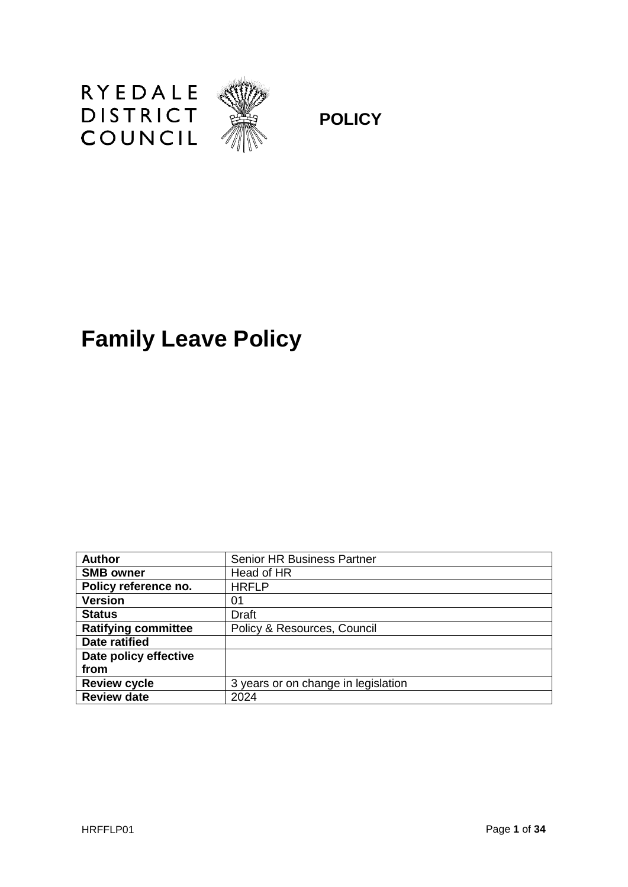

**POLICY**

# **Family Leave Policy**

| <b>Author</b>              | <b>Senior HR Business Partner</b>   |
|----------------------------|-------------------------------------|
| <b>SMB owner</b>           | Head of HR                          |
| Policy reference no.       | <b>HRFLP</b>                        |
| <b>Version</b>             | 01                                  |
| <b>Status</b>              | Draft                               |
| <b>Ratifying committee</b> | Policy & Resources, Council         |
| Date ratified              |                                     |
| Date policy effective      |                                     |
| from                       |                                     |
| <b>Review cycle</b>        | 3 years or on change in legislation |
| <b>Review date</b>         | 2024                                |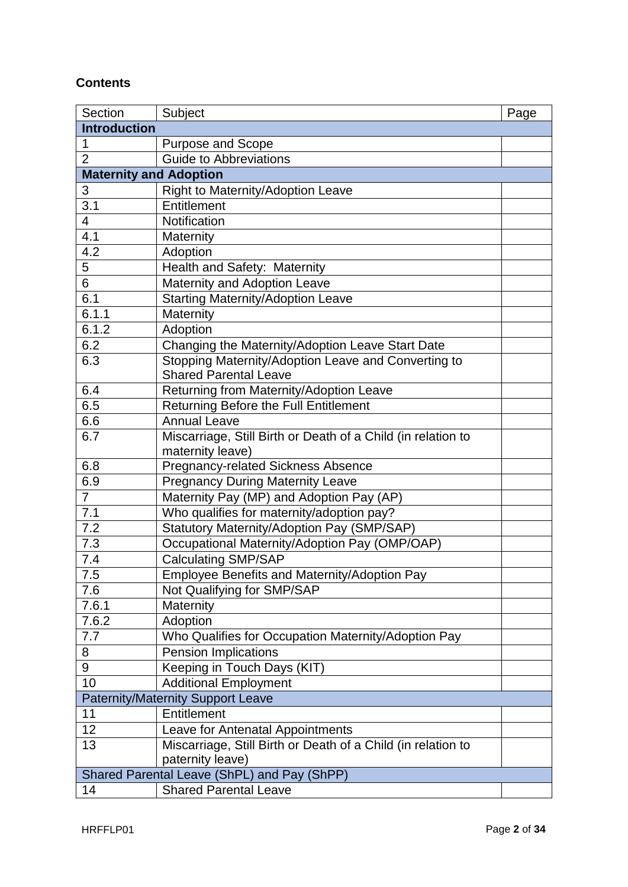## **Contents**

| Section             | Subject                                                      | Page |
|---------------------|--------------------------------------------------------------|------|
| <b>Introduction</b> |                                                              |      |
| 1                   | Purpose and Scope                                            |      |
| $\overline{2}$      | <b>Guide to Abbreviations</b>                                |      |
|                     | <b>Maternity and Adoption</b>                                |      |
| 3                   | Right to Maternity/Adoption Leave                            |      |
| $\overline{3.1}$    | Entitlement                                                  |      |
| 4                   | Notification                                                 |      |
| 4.1                 | Maternity                                                    |      |
| 4.2                 | Adoption                                                     |      |
| 5                   | Health and Safety: Maternity                                 |      |
| $\overline{6}$      | Maternity and Adoption Leave                                 |      |
| 6.1                 | <b>Starting Maternity/Adoption Leave</b>                     |      |
| 6.1.1               | Maternity                                                    |      |
| 6.1.2               | Adoption                                                     |      |
| 6.2                 | Changing the Maternity/Adoption Leave Start Date             |      |
| 6.3                 | Stopping Maternity/Adoption Leave and Converting to          |      |
|                     | <b>Shared Parental Leave</b>                                 |      |
| 6.4                 | Returning from Maternity/Adoption Leave                      |      |
| 6.5                 | Returning Before the Full Entitlement                        |      |
| 6.6                 | <b>Annual Leave</b>                                          |      |
| 6.7                 | Miscarriage, Still Birth or Death of a Child (in relation to |      |
|                     | maternity leave)                                             |      |
| 6.8                 | <b>Pregnancy-related Sickness Absence</b>                    |      |
| 6.9                 | <b>Pregnancy During Maternity Leave</b>                      |      |
| $\overline{7}$      | Maternity Pay (MP) and Adoption Pay (AP)                     |      |
| 7.1                 | Who qualifies for maternity/adoption pay?                    |      |
| 7.2                 | Statutory Maternity/Adoption Pay (SMP/SAP)                   |      |
| 7.3                 | Occupational Maternity/Adoption Pay (OMP/OAP)                |      |
| 7.4                 | <b>Calculating SMP/SAP</b>                                   |      |
| $7.5$               | Employee Benefits and Maternity/Adoption Pay                 |      |
| 7.6                 | Not Qualifying for SMP/SAP                                   |      |
| 7.6.1               | Maternity                                                    |      |
| 7.6.2               | Adoption                                                     |      |
| 7.7                 | Who Qualifies for Occupation Maternity/Adoption Pay          |      |
| 8                   | <b>Pension Implications</b>                                  |      |
| 9                   | Keeping in Touch Days (KIT)                                  |      |
| 10                  | <b>Additional Employment</b>                                 |      |
|                     | <b>Paternity/Maternity Support Leave</b>                     |      |
| 11                  | Entitlement                                                  |      |
| 12                  | Leave for Antenatal Appointments                             |      |
| 13                  | Miscarriage, Still Birth or Death of a Child (in relation to |      |
|                     | paternity leave)                                             |      |
|                     | Shared Parental Leave (ShPL) and Pay (ShPP)                  |      |
| 14                  | <b>Shared Parental Leave</b>                                 |      |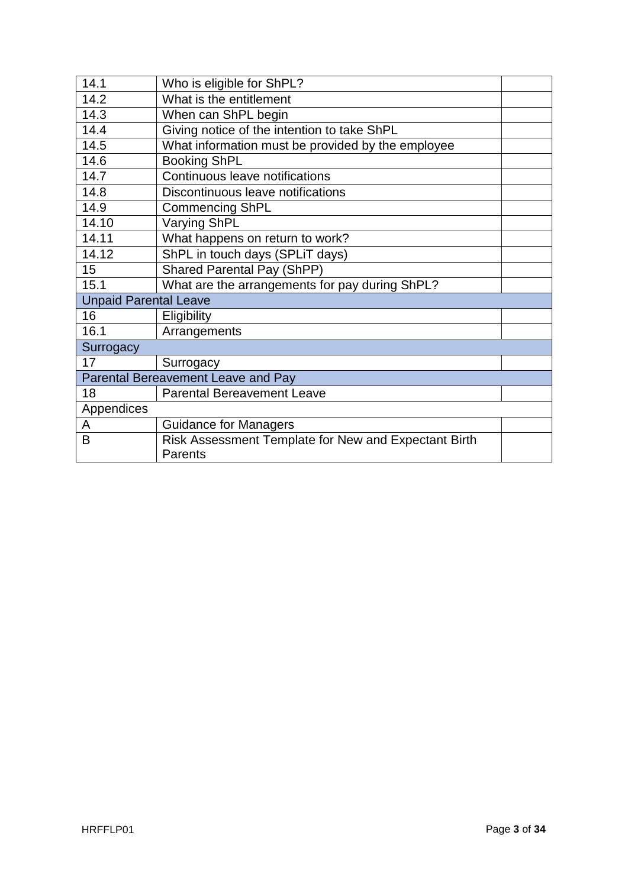| 14.1                         | Who is eligible for ShPL?                            |  |
|------------------------------|------------------------------------------------------|--|
| 14.2                         | What is the entitlement                              |  |
| 14.3                         | When can ShPL begin                                  |  |
| 14.4                         | Giving notice of the intention to take ShPL          |  |
| 14.5                         | What information must be provided by the employee    |  |
| 14.6                         | <b>Booking ShPL</b>                                  |  |
| 14.7                         | Continuous leave notifications                       |  |
| 14.8                         | Discontinuous leave notifications                    |  |
| 14.9                         | <b>Commencing ShPL</b>                               |  |
| 14.10                        | <b>Varying ShPL</b>                                  |  |
| 14.11                        | What happens on return to work?                      |  |
| 14.12                        | ShPL in touch days (SPLIT days)                      |  |
| 15                           | <b>Shared Parental Pay (ShPP)</b>                    |  |
| 15.1                         | What are the arrangements for pay during ShPL?       |  |
| <b>Unpaid Parental Leave</b> |                                                      |  |
| 16                           | Eligibility                                          |  |
| 16.1                         | Arrangements                                         |  |
| Surrogacy                    |                                                      |  |
| 17                           | Surrogacy                                            |  |
|                              | Parental Bereavement Leave and Pay                   |  |
| 18                           | <b>Parental Bereavement Leave</b>                    |  |
| Appendices                   |                                                      |  |
| A                            | <b>Guidance for Managers</b>                         |  |
| B                            | Risk Assessment Template for New and Expectant Birth |  |
|                              | Parents                                              |  |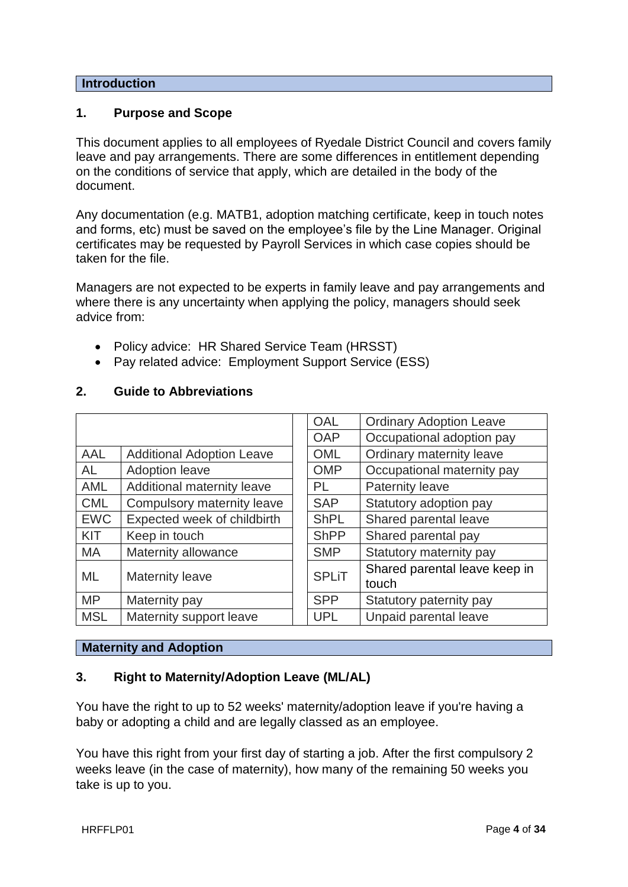#### **Introduction**

#### **1. Purpose and Scope**

This document applies to all employees of Ryedale District Council and covers family leave and pay arrangements. There are some differences in entitlement depending on the conditions of service that apply, which are detailed in the body of the document.

Any documentation (e.g. MATB1, adoption matching certificate, keep in touch notes and forms, etc) must be saved on the employee's file by the Line Manager. Original certificates may be requested by Payroll Services in which case copies should be taken for the file.

Managers are not expected to be experts in family leave and pay arrangements and where there is any uncertainty when applying the policy, managers should seek advice from:

- Policy advice: HR Shared Service Team (HRSST)
- Pay related advice: Employment Support Service (ESS)

|            |                                  | <b>OAL</b>   | <b>Ordinary Adoption Leave</b>         |
|------------|----------------------------------|--------------|----------------------------------------|
|            |                                  | <b>OAP</b>   | Occupational adoption pay              |
| <b>AAL</b> | <b>Additional Adoption Leave</b> | <b>OML</b>   | Ordinary maternity leave               |
| AL.        | <b>Adoption leave</b>            | <b>OMP</b>   | Occupational maternity pay             |
| <b>AML</b> | Additional maternity leave       | <b>PL</b>    | <b>Paternity leave</b>                 |
| <b>CML</b> | Compulsory maternity leave       | <b>SAP</b>   | Statutory adoption pay                 |
| <b>EWC</b> | Expected week of childbirth      | <b>ShPL</b>  | Shared parental leave                  |
| KIT        | Keep in touch                    | <b>ShPP</b>  | Shared parental pay                    |
| MA         | Maternity allowance              | <b>SMP</b>   | Statutory maternity pay                |
| ML         | <b>Maternity leave</b>           | <b>SPLiT</b> | Shared parental leave keep in<br>touch |
| <b>MP</b>  | Maternity pay                    | <b>SPP</b>   | Statutory paternity pay                |
| <b>MSL</b> | Maternity support leave          | <b>UPL</b>   | Unpaid parental leave                  |
|            |                                  |              |                                        |

#### **2. Guide to Abbreviations**

#### **Maternity and Adoption**

#### **3. Right to Maternity/Adoption Leave (ML/AL)**

You have the right to up to 52 weeks' maternity/adoption leave if you're having a baby or adopting a child and are legally classed as an employee.

You have this right from your first day of starting a job. After the first compulsory 2 weeks leave (in the case of maternity), how many of the remaining 50 weeks you take is up to you.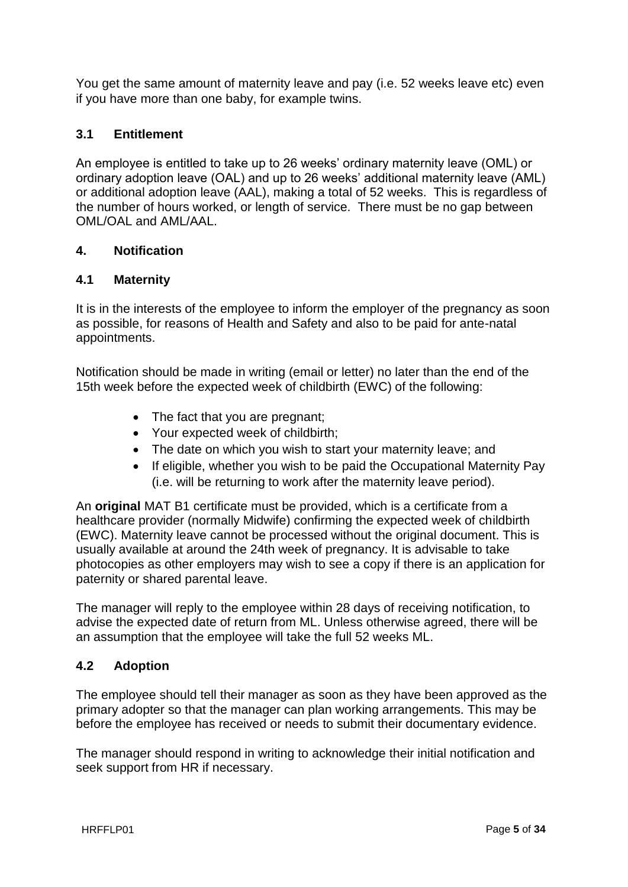You get the same amount of maternity leave and pay (i.e. 52 weeks leave etc) even if you have more than one baby, for example twins.

## **3.1 Entitlement**

An employee is entitled to take up to 26 weeks' ordinary maternity leave (OML) or ordinary adoption leave (OAL) and up to 26 weeks' additional maternity leave (AML) or additional adoption leave (AAL), making a total of 52 weeks. This is regardless of the number of hours worked, or length of service. There must be no gap between OML/OAL and AML/AAL.

## **4. Notification**

## **4.1 Maternity**

It is in the interests of the employee to inform the employer of the pregnancy as soon as possible, for reasons of Health and Safety and also to be paid for ante-natal appointments.

Notification should be made in writing (email or letter) no later than the end of the 15th week before the expected week of childbirth (EWC) of the following:

- The fact that you are pregnant;
- Your expected week of childbirth:
- The date on which you wish to start your maternity leave; and
- If eligible, whether you wish to be paid the Occupational Maternity Pav (i.e. will be returning to work after the maternity leave period).

An **original** MAT B1 certificate must be provided, which is a certificate from a healthcare provider (normally Midwife) confirming the expected week of childbirth (EWC). Maternity leave cannot be processed without the original document. This is usually available at around the 24th week of pregnancy. It is advisable to take photocopies as other employers may wish to see a copy if there is an application for paternity or shared parental leave.

The manager will reply to the employee within 28 days of receiving notification, to advise the expected date of return from ML. Unless otherwise agreed, there will be an assumption that the employee will take the full 52 weeks ML.

## **4.2 Adoption**

The employee should tell their manager as soon as they have been approved as the primary adopter so that the manager can plan working arrangements. This may be before the employee has received or needs to submit their documentary evidence.

The manager should respond in writing to acknowledge their initial notification and seek support from HR if necessary.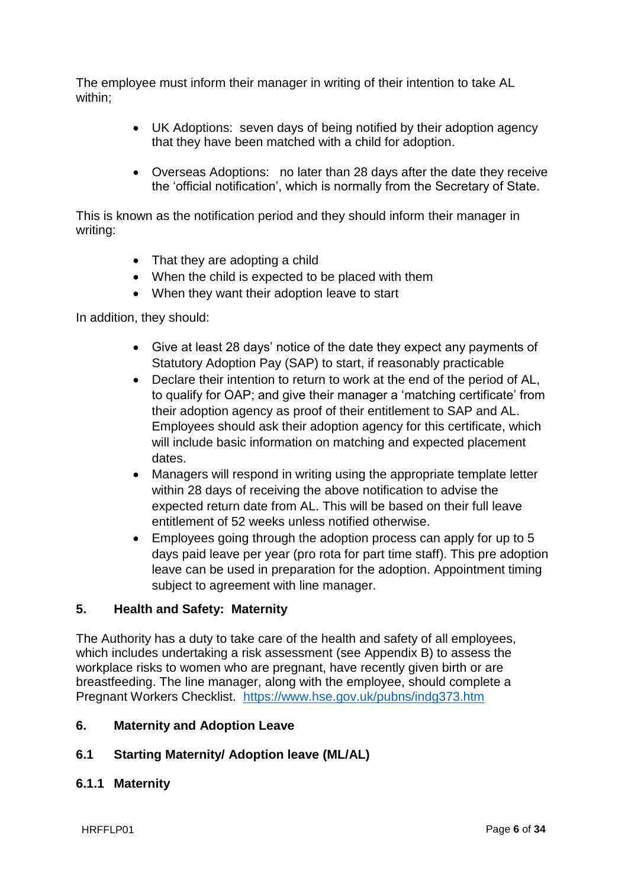The employee must inform their manager in writing of their intention to take AL within;

- UK Adoptions: seven days of being notified by their adoption agency that they have been matched with a child for adoption.
- Overseas Adoptions: no later than 28 days after the date they receive the 'official notification', which is normally from the Secretary of State.

This is known as the notification period and they should inform their manager in writing:

- That they are adopting a child
- When the child is expected to be placed with them
- When they want their adoption leave to start

In addition, they should:

- Give at least 28 days' notice of the date they expect any payments of Statutory Adoption Pay (SAP) to start, if reasonably practicable
- Declare their intention to return to work at the end of the period of AL, to qualify for OAP; and give their manager a 'matching certificate' from their adoption agency as proof of their entitlement to SAP and AL. Employees should ask their adoption agency for this certificate, which will include basic information on matching and expected placement dates.
- Managers will respond in writing using the appropriate template letter within 28 days of receiving the above notification to advise the expected return date from AL. This will be based on their full leave entitlement of 52 weeks unless notified otherwise.
- Employees going through the adoption process can apply for up to 5 days paid leave per year (pro rota for part time staff). This pre adoption leave can be used in preparation for the adoption. Appointment timing subject to agreement with line manager.

#### **5. Health and Safety: Maternity**

The Authority has a duty to take care of the health and safety of all employees, which includes undertaking a risk assessment (see Appendix B) to assess the workplace risks to women who are pregnant, have recently given birth or are breastfeeding. The line manager, along with the employee, should complete a Pregnant Workers Checklist. <https://www.hse.gov.uk/pubns/indg373.htm>

#### **6. Maternity and Adoption Leave**

#### **6.1 Starting Maternity/ Adoption leave (ML/AL)**

#### **6.1.1 Maternity**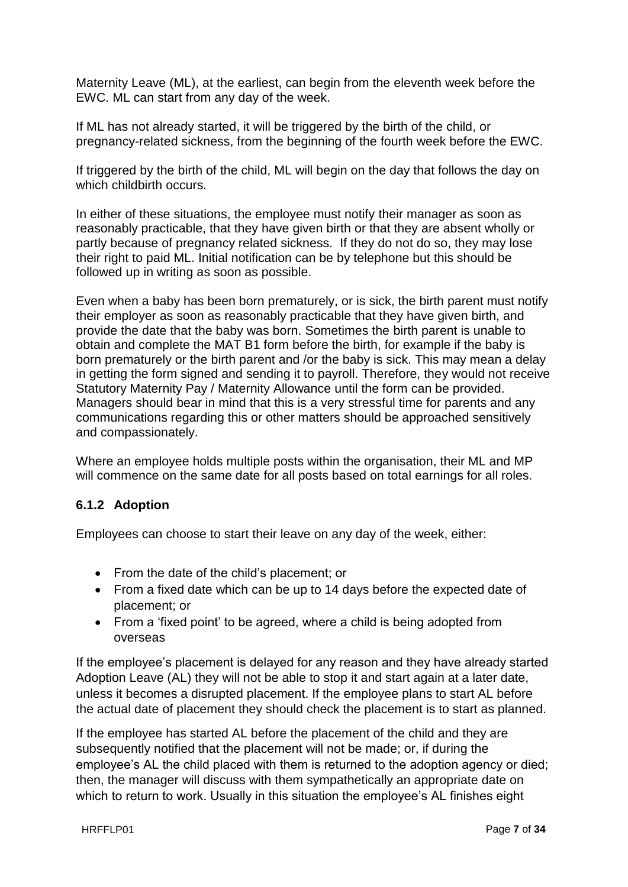Maternity Leave (ML), at the earliest, can begin from the eleventh week before the EWC. ML can start from any day of the week.

If ML has not already started, it will be triggered by the birth of the child, or pregnancy-related sickness, from the beginning of the fourth week before the EWC.

If triggered by the birth of the child, ML will begin on the day that follows the day on which childbirth occurs.

In either of these situations, the employee must notify their manager as soon as reasonably practicable, that they have given birth or that they are absent wholly or partly because of pregnancy related sickness. If they do not do so, they may lose their right to paid ML. Initial notification can be by telephone but this should be followed up in writing as soon as possible.

Even when a baby has been born prematurely, or is sick, the birth parent must notify their employer as soon as reasonably practicable that they have given birth, and provide the date that the baby was born. Sometimes the birth parent is unable to obtain and complete the MAT B1 form before the birth, for example if the baby is born prematurely or the birth parent and /or the baby is sick. This may mean a delay in getting the form signed and sending it to payroll. Therefore, they would not receive Statutory Maternity Pay / Maternity Allowance until the form can be provided. Managers should bear in mind that this is a very stressful time for parents and any communications regarding this or other matters should be approached sensitively and compassionately.

Where an employee holds multiple posts within the organisation, their ML and MP will commence on the same date for all posts based on total earnings for all roles.

## **6.1.2 Adoption**

Employees can choose to start their leave on any day of the week, either:

- From the date of the child's placement; or
- From a fixed date which can be up to 14 days before the expected date of placement; or
- From a 'fixed point' to be agreed, where a child is being adopted from overseas

If the employee's placement is delayed for any reason and they have already started Adoption Leave (AL) they will not be able to stop it and start again at a later date, unless it becomes a disrupted placement. If the employee plans to start AL before the actual date of placement they should check the placement is to start as planned.

If the employee has started AL before the placement of the child and they are subsequently notified that the placement will not be made; or, if during the employee's AL the child placed with them is returned to the adoption agency or died; then, the manager will discuss with them sympathetically an appropriate date on which to return to work. Usually in this situation the employee's AL finishes eight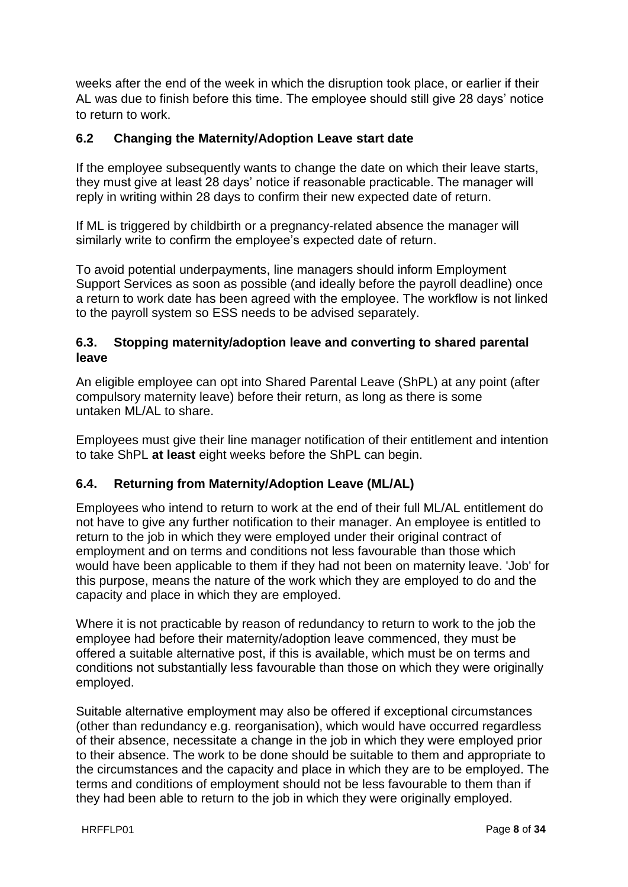weeks after the end of the week in which the disruption took place, or earlier if their AL was due to finish before this time. The employee should still give 28 days' notice to return to work.

## **6.2 Changing the Maternity/Adoption Leave start date**

If the employee subsequently wants to change the date on which their leave starts, they must give at least 28 days' notice if reasonable practicable. The manager will reply in writing within 28 days to confirm their new expected date of return.

If ML is triggered by childbirth or a pregnancy-related absence the manager will similarly write to confirm the employee's expected date of return.

To avoid potential underpayments, line managers should inform Employment Support Services as soon as possible (and ideally before the payroll deadline) once a return to work date has been agreed with the employee. The workflow is not linked to the payroll system so ESS needs to be advised separately.

## **6.3. Stopping maternity/adoption leave and converting to shared parental leave**

An eligible employee can opt into Shared Parental Leave (ShPL) at any point (after compulsory maternity leave) before their return, as long as there is some untaken ML/AL to share.

Employees must give their line manager notification of their entitlement and intention to take ShPL **at least** eight weeks before the ShPL can begin.

## **6.4. Returning from Maternity/Adoption Leave (ML/AL)**

Employees who intend to return to work at the end of their full ML/AL entitlement do not have to give any further notification to their manager. An employee is entitled to return to the job in which they were employed under their original contract of employment and on terms and conditions not less favourable than those which would have been applicable to them if they had not been on maternity leave. 'Job' for this purpose, means the nature of the work which they are employed to do and the capacity and place in which they are employed.

Where it is not practicable by reason of redundancy to return to work to the job the employee had before their maternity/adoption leave commenced, they must be offered a suitable alternative post, if this is available, which must be on terms and conditions not substantially less favourable than those on which they were originally employed.

Suitable alternative employment may also be offered if exceptional circumstances (other than redundancy e.g. reorganisation), which would have occurred regardless of their absence, necessitate a change in the job in which they were employed prior to their absence. The work to be done should be suitable to them and appropriate to the circumstances and the capacity and place in which they are to be employed. The terms and conditions of employment should not be less favourable to them than if they had been able to return to the job in which they were originally employed.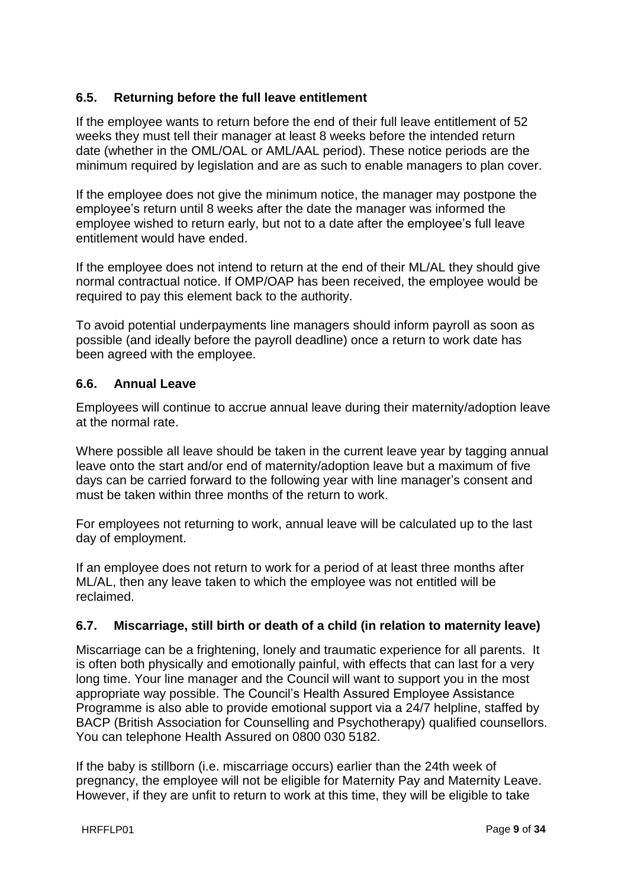## **6.5. Returning before the full leave entitlement**

If the employee wants to return before the end of their full leave entitlement of 52 weeks they must tell their manager at least 8 weeks before the intended return date (whether in the OML/OAL or AML/AAL period). These notice periods are the minimum required by legislation and are as such to enable managers to plan cover.

If the employee does not give the minimum notice, the manager may postpone the employee's return until 8 weeks after the date the manager was informed the employee wished to return early, but not to a date after the employee's full leave entitlement would have ended.

If the employee does not intend to return at the end of their ML/AL they should give normal contractual notice. If OMP/OAP has been received, the employee would be required to pay this element back to the authority.

To avoid potential underpayments line managers should inform payroll as soon as possible (and ideally before the payroll deadline) once a return to work date has been agreed with the employee.

#### **6.6. Annual Leave**

Employees will continue to accrue annual leave during their maternity/adoption leave at the normal rate.

Where possible all leave should be taken in the current leave year by tagging annual leave onto the start and/or end of maternity/adoption leave but a maximum of five days can be carried forward to the following year with line manager's consent and must be taken within three months of the return to work.

For employees not returning to work, annual leave will be calculated up to the last day of employment.

If an employee does not return to work for a period of at least three months after ML/AL, then any leave taken to which the employee was not entitled will be reclaimed.

#### **6.7. Miscarriage, still birth or death of a child (in relation to maternity leave)**

Miscarriage can be a frightening, lonely and traumatic experience for all parents. It is often both physically and emotionally painful, with effects that can last for a very long time. Your line manager and the Council will want to support you in the most appropriate way possible. The Council's Health Assured Employee Assistance Programme is also able to provide emotional support via a 24/7 helpline, staffed by BACP (British Association for Counselling and Psychotherapy) qualified counsellors. You can telephone Health Assured on 0800 030 5182.

If the baby is stillborn (i.e. miscarriage occurs) earlier than the 24th week of pregnancy, the employee will not be eligible for Maternity Pay and Maternity Leave. However, if they are unfit to return to work at this time, they will be eligible to take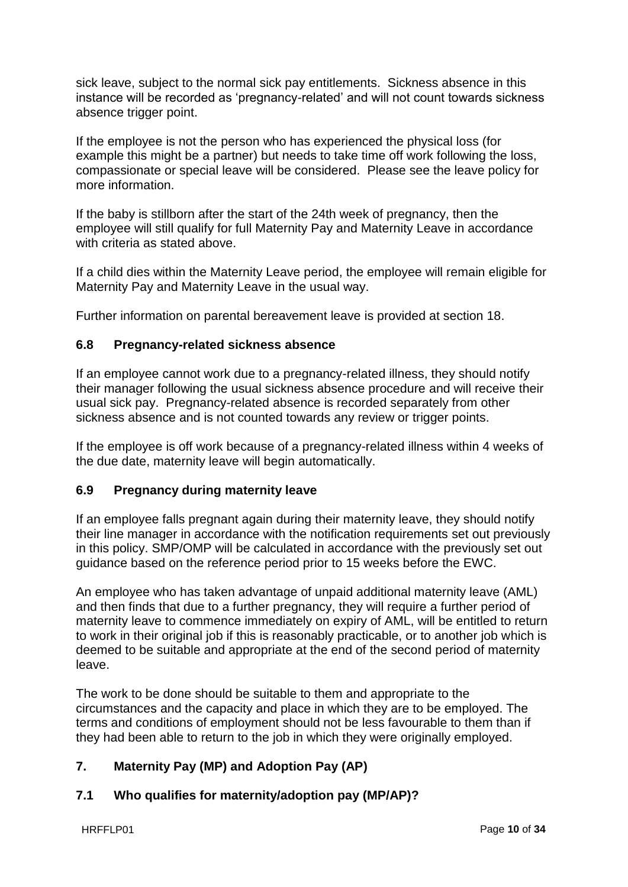sick leave, subject to the normal sick pay entitlements. Sickness absence in this instance will be recorded as 'pregnancy-related' and will not count towards sickness absence trigger point.

If the employee is not the person who has experienced the physical loss (for example this might be a partner) but needs to take time off work following the loss, compassionate or special leave will be considered. Please see the leave policy for more information.

If the baby is stillborn after the start of the 24th week of pregnancy, then the employee will still qualify for full Maternity Pay and Maternity Leave in accordance with criteria as stated above.

If a child dies within the Maternity Leave period, the employee will remain eligible for Maternity Pay and Maternity Leave in the usual way.

Further information on parental bereavement leave is provided at section 18.

## **6.8 Pregnancy-related sickness absence**

If an employee cannot work due to a pregnancy-related illness, they should notify their manager following the usual sickness absence procedure and will receive their usual sick pay. Pregnancy-related absence is recorded separately from other sickness absence and is not counted towards any review or trigger points.

If the employee is off work because of a pregnancy-related illness within 4 weeks of the due date, maternity leave will begin automatically.

## **6.9 Pregnancy during maternity leave**

If an employee falls pregnant again during their maternity leave, they should notify their line manager in accordance with the notification requirements set out previously in this policy. SMP/OMP will be calculated in accordance with the previously set out guidance based on the reference period prior to 15 weeks before the EWC.

An employee who has taken advantage of unpaid additional maternity leave (AML) and then finds that due to a further pregnancy, they will require a further period of maternity leave to commence immediately on expiry of AML, will be entitled to return to work in their original job if this is reasonably practicable, or to another job which is deemed to be suitable and appropriate at the end of the second period of maternity leave.

The work to be done should be suitable to them and appropriate to the circumstances and the capacity and place in which they are to be employed. The terms and conditions of employment should not be less favourable to them than if they had been able to return to the job in which they were originally employed.

## **7. Maternity Pay (MP) and Adoption Pay (AP)**

## **7.1 Who qualifies for maternity/adoption pay (MP/AP)?**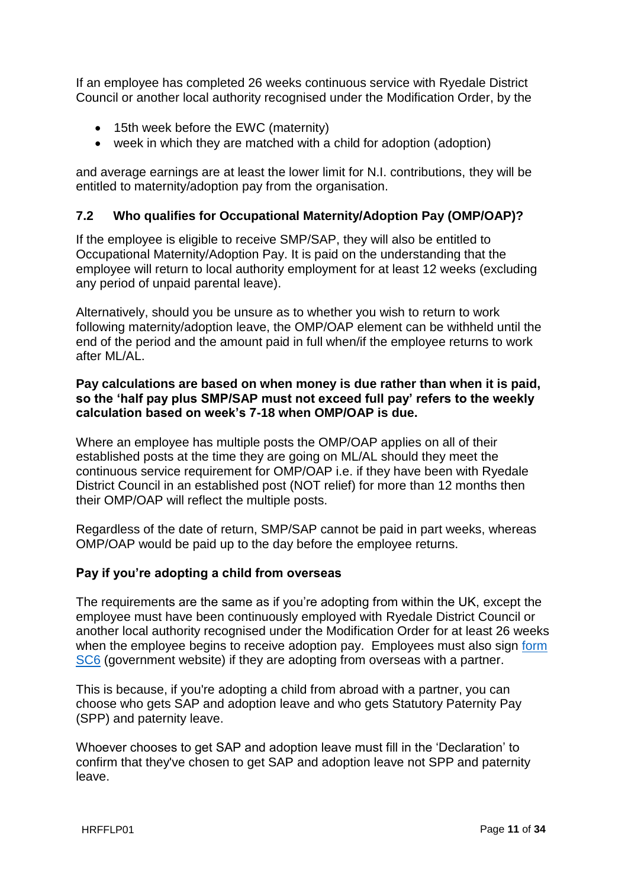If an employee has completed 26 weeks continuous service with Ryedale District Council or another local authority recognised under the Modification Order, by the

- 15th week before the EWC (maternity)
- week in which they are matched with a child for adoption (adoption)

and average earnings are at least the lower limit for N.I. contributions, they will be entitled to maternity/adoption pay from the organisation.

## **7.2 Who qualifies for Occupational Maternity/Adoption Pay (OMP/OAP)?**

If the employee is eligible to receive SMP/SAP, they will also be entitled to Occupational Maternity/Adoption Pay. It is paid on the understanding that the employee will return to local authority employment for at least 12 weeks (excluding any period of unpaid parental leave).

Alternatively, should you be unsure as to whether you wish to return to work following maternity/adoption leave, the OMP/OAP element can be withheld until the end of the period and the amount paid in full when/if the employee returns to work after ML/AL.

#### **Pay calculations are based on when money is due rather than when it is paid, so the 'half pay plus SMP/SAP must not exceed full pay' refers to the weekly calculation based on week's 7-18 when OMP/OAP is due.**

Where an employee has multiple posts the OMP/OAP applies on all of their established posts at the time they are going on ML/AL should they meet the continuous service requirement for OMP/OAP i.e. if they have been with Ryedale District Council in an established post (NOT relief) for more than 12 months then their OMP/OAP will reflect the multiple posts.

Regardless of the date of return, SMP/SAP cannot be paid in part weeks, whereas OMP/OAP would be paid up to the day before the employee returns.

#### **Pay if you're adopting a child from overseas**

The requirements are the same as if you're adopting from within the UK, except the employee must have been continuously employed with Ryedale District Council or another local authority recognised under the Modification Order for at least 26 weeks when the employee begins to receive adoption pay. Employees must also sign [form](https://public-online.hmrc.gov.uk/lc/content/xfaforms/profiles/forms.html?contentRoot=repository:///Applications/PersonalTax_iForms/1.0/SC6_20156&template=SC6.xdp)  [SC6](https://public-online.hmrc.gov.uk/lc/content/xfaforms/profiles/forms.html?contentRoot=repository:///Applications/PersonalTax_iForms/1.0/SC6_20156&template=SC6.xdp) (government website) if they are adopting from overseas with a partner.

This is because, if you're adopting a child from abroad with a partner, you can choose who gets SAP and adoption leave and who gets Statutory Paternity Pay (SPP) and paternity leave.

Whoever chooses to get SAP and adoption leave must fill in the 'Declaration' to confirm that they've chosen to get SAP and adoption leave not SPP and paternity leave.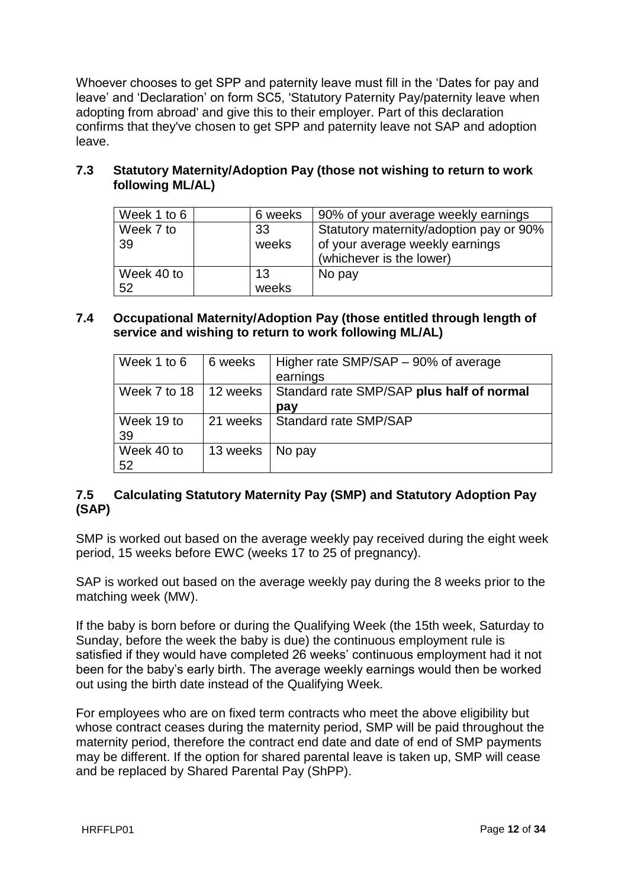Whoever chooses to get SPP and paternity leave must fill in the 'Dates for pay and leave' and 'Declaration' on form SC5, 'Statutory Paternity Pay/paternity leave when adopting from abroad' and give this to their employer. Part of this declaration confirms that they've chosen to get SPP and paternity leave not SAP and adoption leave.

## **7.3 Statutory Maternity/Adoption Pay (those not wishing to return to work following ML/AL)**

| Week 1 to 6 | 6 weeks | 90% of your average weekly earnings     |
|-------------|---------|-----------------------------------------|
| Week 7 to   | 33      | Statutory maternity/adoption pay or 90% |
| 39          | weeks   | of your average weekly earnings         |
|             |         | (whichever is the lower)                |
| Week 40 to  | 13      | No pay                                  |
| 52          | weeks   |                                         |

## **7.4 Occupational Maternity/Adoption Pay (those entitled through length of service and wishing to return to work following ML/AL)**

| Week 1 to 6      | 6 weeks  | Higher rate SMP/SAP – 90% of average<br>earnings            |
|------------------|----------|-------------------------------------------------------------|
| Week 7 to 18     |          | 12 weeks   Standard rate SMP/SAP plus half of normal<br>pay |
| Week 19 to<br>39 |          | 21 weeks   Standard rate SMP/SAP                            |
| Week 40 to<br>52 | 13 weeks | $\overline{\phantom{a}}$ No pay                             |

## **7.5 Calculating Statutory Maternity Pay (SMP) and Statutory Adoption Pay (SAP)**

SMP is worked out based on the average weekly pay received during the eight week period, 15 weeks before EWC (weeks 17 to 25 of pregnancy).

SAP is worked out based on the average weekly pay during the 8 weeks prior to the matching week (MW).

If the baby is born before or during the Qualifying Week (the 15th week, Saturday to Sunday, before the week the baby is due) the continuous employment rule is satisfied if they would have completed 26 weeks' continuous employment had it not been for the baby's early birth. The average weekly earnings would then be worked out using the birth date instead of the Qualifying Week.

For employees who are on fixed term contracts who meet the above eligibility but whose contract ceases during the maternity period, SMP will be paid throughout the maternity period, therefore the contract end date and date of end of SMP payments may be different. If the option for shared parental leave is taken up, SMP will cease and be replaced by Shared Parental Pay (ShPP).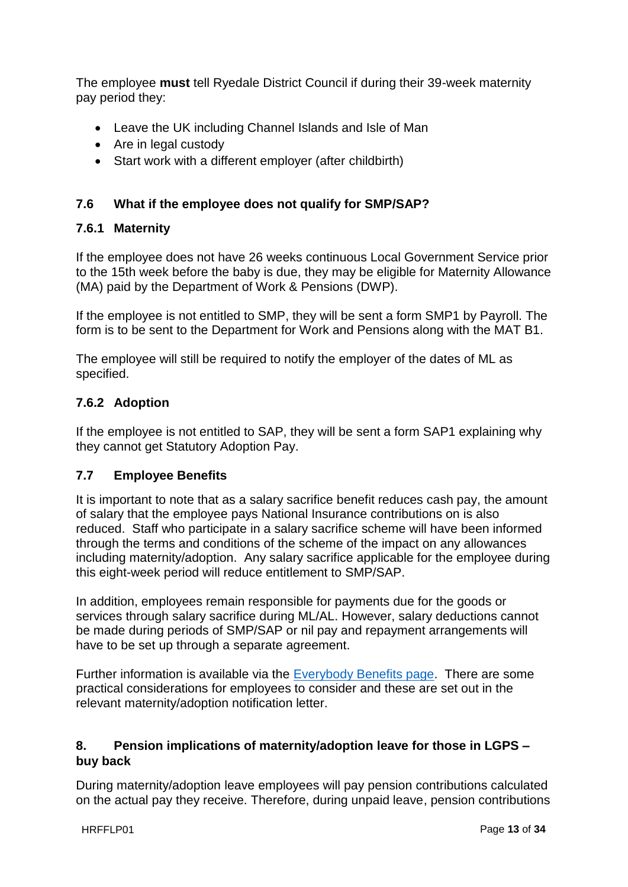The employee **must** tell Ryedale District Council if during their 39-week maternity pay period they:

- Leave the UK including Channel Islands and Isle of Man
- Are in legal custody
- Start work with a different employer (after childbirth)

## **7.6 What if the employee does not qualify for SMP/SAP?**

## **7.6.1 Maternity**

If the employee does not have 26 weeks continuous Local Government Service prior to the 15th week before the baby is due, they may be eligible for Maternity Allowance (MA) paid by the Department of Work & Pensions (DWP).

If the employee is not entitled to SMP, they will be sent a form SMP1 by Payroll. The form is to be sent to the Department for Work and Pensions along with the MAT B1.

The employee will still be required to notify the employer of the dates of ML as specified.

## **7.6.2 Adoption**

If the employee is not entitled to SAP, they will be sent a form SAP1 explaining why they cannot get Statutory Adoption Pay.

## **7.7 Employee Benefits**

It is important to note that as a salary sacrifice benefit reduces cash pay, the amount of salary that the employee pays National Insurance contributions on is also reduced. Staff who participate in a salary sacrifice scheme will have been informed through the terms and conditions of the scheme of the impact on any allowances including maternity/adoption. Any salary sacrifice applicable for the employee during this eight-week period will reduce entitlement to SMP/SAP.

In addition, employees remain responsible for payments due for the goods or services through salary sacrifice during ML/AL. However, salary deductions cannot be made during periods of SMP/SAP or nil pay and repayment arrangements will have to be set up through a separate agreement.

Further information is available via the [Everybody Benefits page.](http://nyccintranet/content/everybody-benefits) There are some practical considerations for employees to consider and these are set out in the relevant maternity/adoption notification letter.

## **8. Pension implications of maternity/adoption leave for those in LGPS – buy back**

During maternity/adoption leave employees will pay pension contributions calculated on the actual pay they receive. Therefore, during unpaid leave, pension contributions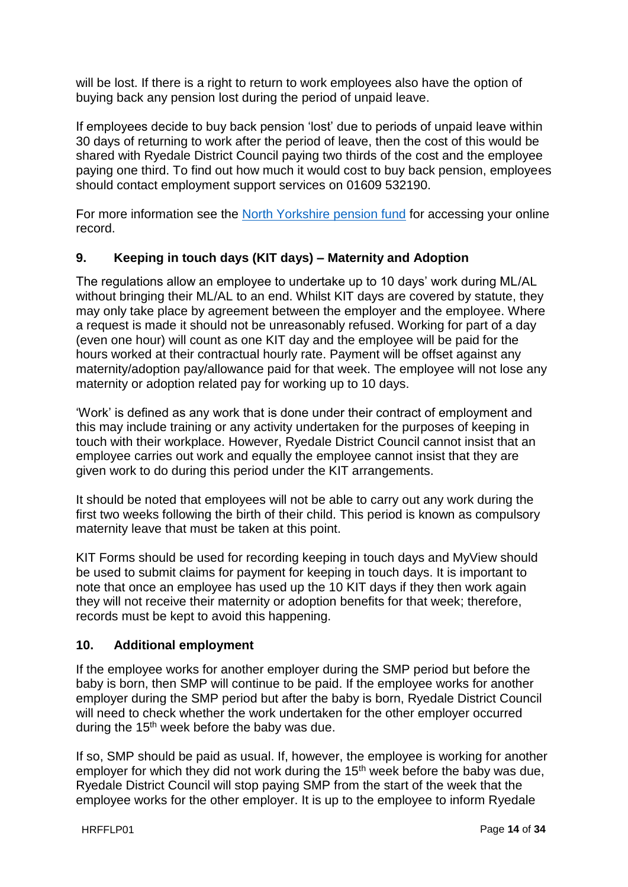will be lost. If there is a right to return to work employees also have the option of buying back any pension lost during the period of unpaid leave.

If employees decide to buy back pension 'lost' due to periods of unpaid leave within 30 days of returning to work after the period of leave, then the cost of this would be shared with Ryedale District Council paying two thirds of the cost and the employee paying one third. To find out how much it would cost to buy back pension, employees should contact employment support services on 01609 532190.

For more information see the [North Yorkshire pension fund](https://www.nypf.org.uk/) for accessing your online record.

## **9. Keeping in touch days (KIT days) – Maternity and Adoption**

The regulations allow an employee to undertake up to 10 days' work during ML/AL without bringing their ML/AL to an end. Whilst KIT days are covered by statute, they may only take place by agreement between the employer and the employee. Where a request is made it should not be unreasonably refused. Working for part of a day (even one hour) will count as one KIT day and the employee will be paid for the hours worked at their contractual hourly rate. Payment will be offset against any maternity/adoption pay/allowance paid for that week. The employee will not lose any maternity or adoption related pay for working up to 10 days.

'Work' is defined as any work that is done under their contract of employment and this may include training or any activity undertaken for the purposes of keeping in touch with their workplace. However, Ryedale District Council cannot insist that an employee carries out work and equally the employee cannot insist that they are given work to do during this period under the KIT arrangements.

It should be noted that employees will not be able to carry out any work during the first two weeks following the birth of their child. This period is known as compulsory maternity leave that must be taken at this point.

KIT Forms should be used for recording keeping in touch days and MyView should be used to submit claims for payment for keeping in touch days. It is important to note that once an employee has used up the 10 KIT days if they then work again they will not receive their maternity or adoption benefits for that week; therefore, records must be kept to avoid this happening.

#### **10. Additional employment**

If the employee works for another employer during the SMP period but before the baby is born, then SMP will continue to be paid. If the employee works for another employer during the SMP period but after the baby is born, Ryedale District Council will need to check whether the work undertaken for the other employer occurred during the 15<sup>th</sup> week before the baby was due.

If so, SMP should be paid as usual. If, however, the employee is working for another employer for which they did not work during the 15<sup>th</sup> week before the baby was due, Ryedale District Council will stop paying SMP from the start of the week that the employee works for the other employer. It is up to the employee to inform Ryedale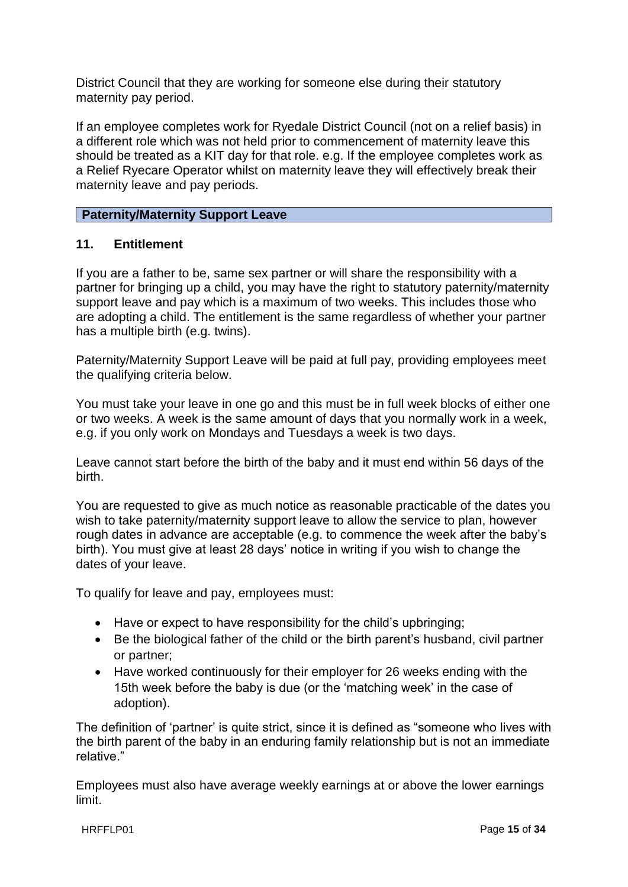District Council that they are working for someone else during their statutory maternity pay period.

If an employee completes work for Ryedale District Council (not on a relief basis) in a different role which was not held prior to commencement of maternity leave this should be treated as a KIT day for that role. e.g. If the employee completes work as a Relief Ryecare Operator whilst on maternity leave they will effectively break their maternity leave and pay periods.

#### **Paternity/Maternity Support Leave**

#### **11. Entitlement**

If you are a father to be, same sex partner or will share the responsibility with a partner for bringing up a child, you may have the right to statutory paternity/maternity support leave and pay which is a maximum of two weeks. This includes those who are adopting a child. The entitlement is the same regardless of whether your partner has a multiple birth (e.g. twins).

Paternity/Maternity Support Leave will be paid at full pay, providing employees meet the qualifying criteria below.

You must take your leave in one go and this must be in full week blocks of either one or two weeks. A week is the same amount of days that you normally work in a week, e.g. if you only work on Mondays and Tuesdays a week is two days.

Leave cannot start before the birth of the baby and it must end within 56 days of the birth.

You are requested to give as much notice as reasonable practicable of the dates you wish to take paternity/maternity support leave to allow the service to plan, however rough dates in advance are acceptable (e.g. to commence the week after the baby's birth). You must give at least 28 days' notice in writing if you wish to change the dates of your leave.

To qualify for leave and pay, employees must:

- Have or expect to have responsibility for the child's upbringing;
- Be the biological father of the child or the birth parent's husband, civil partner or partner;
- Have worked continuously for their employer for 26 weeks ending with the 15th week before the baby is due (or the 'matching week' in the case of adoption).

The definition of 'partner' is quite strict, since it is defined as "someone who lives with the birth parent of the baby in an enduring family relationship but is not an immediate relative."

Employees must also have average weekly earnings at or above the lower earnings limit.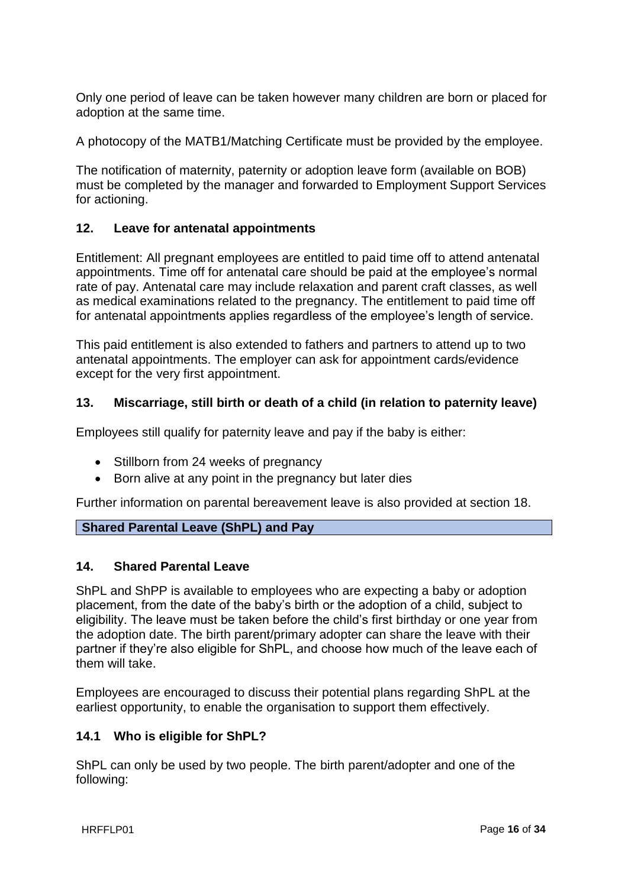Only one period of leave can be taken however many children are born or placed for adoption at the same time.

A photocopy of the MATB1/Matching Certificate must be provided by the employee.

The notification of maternity, paternity or adoption leave form (available on BOB) must be completed by the manager and forwarded to Employment Support Services for actioning.

## **12. Leave for antenatal appointments**

Entitlement: All pregnant employees are entitled to paid time off to attend antenatal appointments. Time off for antenatal care should be paid at the employee's normal rate of pay. Antenatal care may include relaxation and parent craft classes, as well as medical examinations related to the pregnancy. The entitlement to paid time off for antenatal appointments applies regardless of the employee's length of service.

This paid entitlement is also extended to fathers and partners to attend up to two antenatal appointments. The employer can ask for appointment cards/evidence except for the very first appointment.

## **13. Miscarriage, still birth or death of a child (in relation to paternity leave)**

Employees still qualify for paternity leave and pay if the baby is either:

- Stillborn from 24 weeks of pregnancy
- Born alive at any point in the pregnancy but later dies

Further information on parental bereavement leave is also provided at section 18.

#### **Shared Parental Leave (ShPL) and Pay**

#### **14. Shared Parental Leave**

ShPL and ShPP is available to employees who are expecting a baby or adoption placement, from the date of the baby's birth or the adoption of a child, subject to eligibility. The leave must be taken before the child's first birthday or one year from the adoption date. The birth parent/primary adopter can share the leave with their partner if they're also eligible for ShPL, and choose how much of the leave each of them will take.

Employees are encouraged to discuss their potential plans regarding ShPL at the earliest opportunity, to enable the organisation to support them effectively.

#### **14.1 Who is eligible for ShPL?**

ShPL can only be used by two people. The birth parent/adopter and one of the following: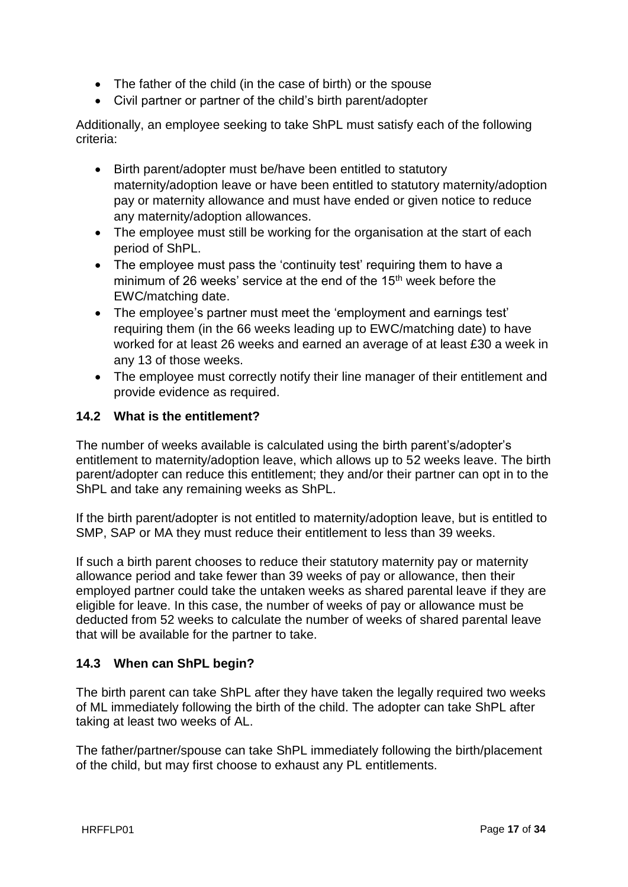- The father of the child (in the case of birth) or the spouse
- Civil partner or partner of the child's birth parent/adopter

Additionally, an employee seeking to take ShPL must satisfy each of the following criteria:

- Birth parent/adopter must be/have been entitled to statutory maternity/adoption leave or have been entitled to statutory maternity/adoption pay or maternity allowance and must have ended or given notice to reduce any maternity/adoption allowances.
- The employee must still be working for the organisation at the start of each period of ShPL.
- The employee must pass the 'continuity test' requiring them to have a minimum of 26 weeks' service at the end of the 15<sup>th</sup> week before the EWC/matching date.
- The employee's partner must meet the 'employment and earnings test' requiring them (in the 66 weeks leading up to EWC/matching date) to have worked for at least 26 weeks and earned an average of at least £30 a week in any 13 of those weeks.
- The employee must correctly notify their line manager of their entitlement and provide evidence as required.

## **14.2 What is the entitlement?**

The number of weeks available is calculated using the birth parent's/adopter's entitlement to maternity/adoption leave, which allows up to 52 weeks leave. The birth parent/adopter can reduce this entitlement; they and/or their partner can opt in to the ShPL and take any remaining weeks as ShPL.

If the birth parent/adopter is not entitled to maternity/adoption leave, but is entitled to SMP, SAP or MA they must reduce their entitlement to less than 39 weeks.

If such a birth parent chooses to reduce their statutory maternity pay or maternity allowance period and take fewer than 39 weeks of pay or allowance, then their employed partner could take the untaken weeks as shared parental leave if they are eligible for leave. In this case, the number of weeks of pay or allowance must be deducted from 52 weeks to calculate the number of weeks of shared parental leave that will be available for the partner to take.

## **14.3 When can ShPL begin?**

The birth parent can take ShPL after they have taken the legally required two weeks of ML immediately following the birth of the child. The adopter can take ShPL after taking at least two weeks of AL.

The father/partner/spouse can take ShPL immediately following the birth/placement of the child, but may first choose to exhaust any PL entitlements.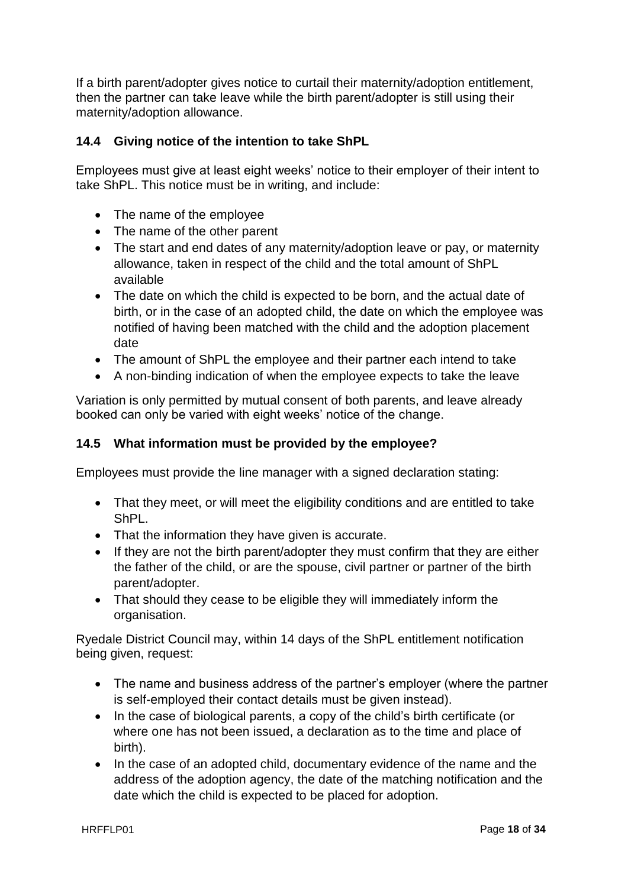If a birth parent/adopter gives notice to curtail their maternity/adoption entitlement, then the partner can take leave while the birth parent/adopter is still using their maternity/adoption allowance.

## **14.4 Giving notice of the intention to take ShPL**

Employees must give at least eight weeks' notice to their employer of their intent to take ShPL. This notice must be in writing, and include:

- The name of the employee
- The name of the other parent
- The start and end dates of any maternity/adoption leave or pay, or maternity allowance, taken in respect of the child and the total amount of ShPL available
- The date on which the child is expected to be born, and the actual date of birth, or in the case of an adopted child, the date on which the employee was notified of having been matched with the child and the adoption placement date
- The amount of ShPL the employee and their partner each intend to take
- A non-binding indication of when the employee expects to take the leave

Variation is only permitted by mutual consent of both parents, and leave already booked can only be varied with eight weeks' notice of the change.

## **14.5 What information must be provided by the employee?**

Employees must provide the line manager with a signed declaration stating:

- That they meet, or will meet the eligibility conditions and are entitled to take ShPL.
- That the information they have given is accurate.
- If they are not the birth parent/adopter they must confirm that they are either the father of the child, or are the spouse, civil partner or partner of the birth parent/adopter.
- That should they cease to be eligible they will immediately inform the organisation.

Ryedale District Council may, within 14 days of the ShPL entitlement notification being given, request:

- The name and business address of the partner's employer (where the partner is self-employed their contact details must be given instead).
- In the case of biological parents, a copy of the child's birth certificate (or where one has not been issued, a declaration as to the time and place of birth).
- In the case of an adopted child, documentary evidence of the name and the address of the adoption agency, the date of the matching notification and the date which the child is expected to be placed for adoption.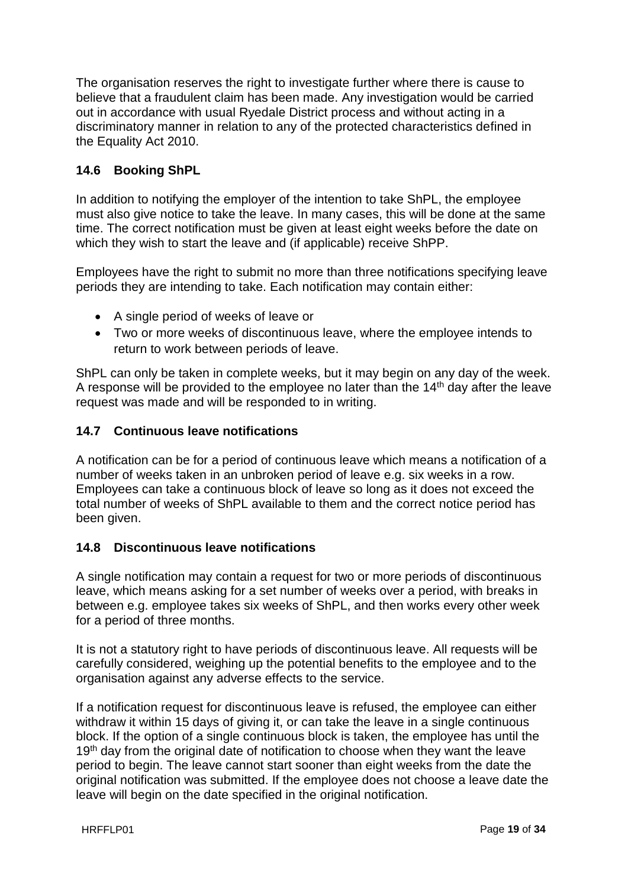The organisation reserves the right to investigate further where there is cause to believe that a fraudulent claim has been made. Any investigation would be carried out in accordance with usual Ryedale District process and without acting in a discriminatory manner in relation to any of the protected characteristics defined in the Equality Act 2010.

## **14.6 Booking ShPL**

In addition to notifying the employer of the intention to take ShPL, the employee must also give notice to take the leave. In many cases, this will be done at the same time. The correct notification must be given at least eight weeks before the date on which they wish to start the leave and (if applicable) receive ShPP.

Employees have the right to submit no more than three notifications specifying leave periods they are intending to take. Each notification may contain either:

- A single period of weeks of leave or
- Two or more weeks of discontinuous leave, where the employee intends to return to work between periods of leave.

ShPL can only be taken in complete weeks, but it may begin on any day of the week. A response will be provided to the employee no later than the  $14<sup>th</sup>$  day after the leave request was made and will be responded to in writing.

## **14.7 Continuous leave notifications**

A notification can be for a period of continuous leave which means a notification of a number of weeks taken in an unbroken period of leave e.g. six weeks in a row. Employees can take a continuous block of leave so long as it does not exceed the total number of weeks of ShPL available to them and the correct notice period has been given.

#### **14.8 Discontinuous leave notifications**

A single notification may contain a request for two or more periods of discontinuous leave, which means asking for a set number of weeks over a period, with breaks in between e.g. employee takes six weeks of ShPL, and then works every other week for a period of three months.

It is not a statutory right to have periods of discontinuous leave. All requests will be carefully considered, weighing up the potential benefits to the employee and to the organisation against any adverse effects to the service.

If a notification request for discontinuous leave is refused, the employee can either withdraw it within 15 days of giving it, or can take the leave in a single continuous block. If the option of a single continuous block is taken, the employee has until the 19<sup>th</sup> day from the original date of notification to choose when they want the leave period to begin. The leave cannot start sooner than eight weeks from the date the original notification was submitted. If the employee does not choose a leave date the leave will begin on the date specified in the original notification.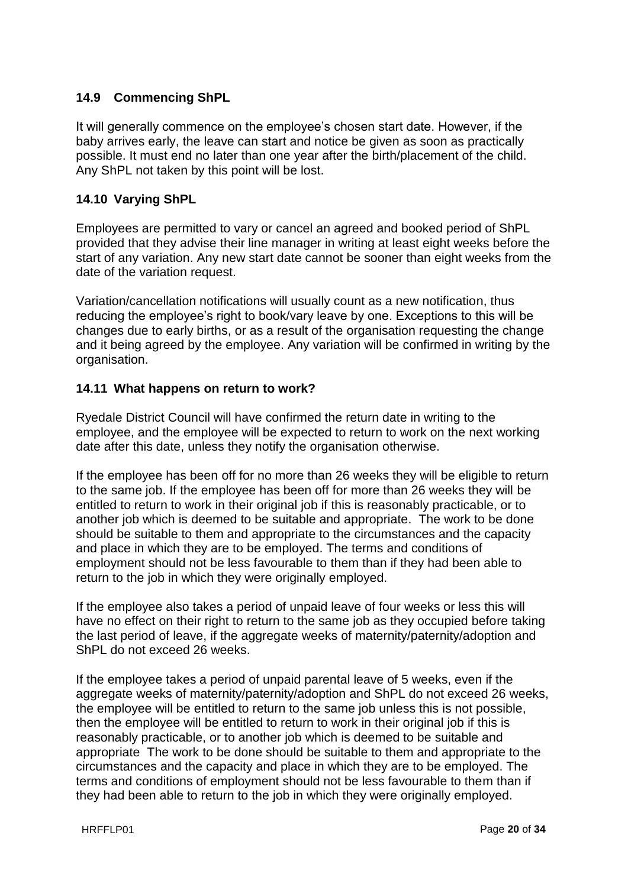## **14.9 Commencing ShPL**

It will generally commence on the employee's chosen start date. However, if the baby arrives early, the leave can start and notice be given as soon as practically possible. It must end no later than one year after the birth/placement of the child. Any ShPL not taken by this point will be lost.

## **14.10 Varying ShPL**

Employees are permitted to vary or cancel an agreed and booked period of ShPL provided that they advise their line manager in writing at least eight weeks before the start of any variation. Any new start date cannot be sooner than eight weeks from the date of the variation request.

Variation/cancellation notifications will usually count as a new notification, thus reducing the employee's right to book/vary leave by one. Exceptions to this will be changes due to early births, or as a result of the organisation requesting the change and it being agreed by the employee. Any variation will be confirmed in writing by the organisation.

#### **14.11 What happens on return to work?**

Ryedale District Council will have confirmed the return date in writing to the employee, and the employee will be expected to return to work on the next working date after this date, unless they notify the organisation otherwise.

If the employee has been off for no more than 26 weeks they will be eligible to return to the same job. If the employee has been off for more than 26 weeks they will be entitled to return to work in their original job if this is reasonably practicable, or to another job which is deemed to be suitable and appropriate. The work to be done should be suitable to them and appropriate to the circumstances and the capacity and place in which they are to be employed. The terms and conditions of employment should not be less favourable to them than if they had been able to return to the job in which they were originally employed.

If the employee also takes a period of unpaid leave of four weeks or less this will have no effect on their right to return to the same job as they occupied before taking the last period of leave, if the aggregate weeks of maternity/paternity/adoption and ShPL do not exceed 26 weeks.

If the employee takes a period of unpaid parental leave of 5 weeks, even if the aggregate weeks of maternity/paternity/adoption and ShPL do not exceed 26 weeks, the employee will be entitled to return to the same job unless this is not possible, then the employee will be entitled to return to work in their original job if this is reasonably practicable, or to another job which is deemed to be suitable and appropriate The work to be done should be suitable to them and appropriate to the circumstances and the capacity and place in which they are to be employed. The terms and conditions of employment should not be less favourable to them than if they had been able to return to the job in which they were originally employed.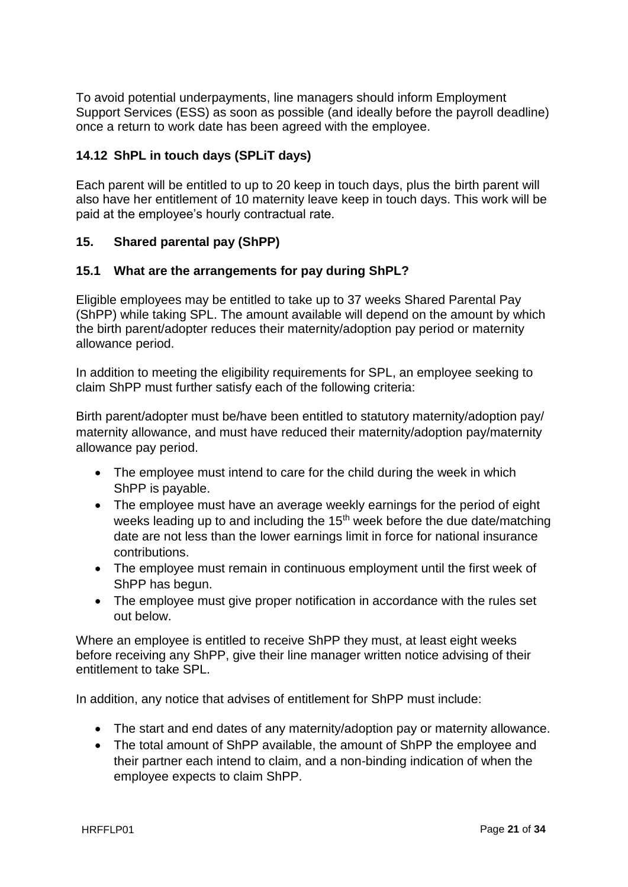To avoid potential underpayments, line managers should inform Employment Support Services (ESS) as soon as possible (and ideally before the payroll deadline) once a return to work date has been agreed with the employee.

## **14.12 ShPL in touch days (SPLiT days)**

Each parent will be entitled to up to 20 keep in touch days, plus the birth parent will also have her entitlement of 10 maternity leave keep in touch days. This work will be paid at the employee's hourly contractual rate.

## **15. Shared parental pay (ShPP)**

#### **15.1 What are the arrangements for pay during ShPL?**

Eligible employees may be entitled to take up to 37 weeks Shared Parental Pay (ShPP) while taking SPL. The amount available will depend on the amount by which the birth parent/adopter reduces their maternity/adoption pay period or maternity allowance period.

In addition to meeting the eligibility requirements for SPL, an employee seeking to claim ShPP must further satisfy each of the following criteria:

Birth parent/adopter must be/have been entitled to statutory maternity/adoption pay/ maternity allowance, and must have reduced their maternity/adoption pay/maternity allowance pay period.

- The employee must intend to care for the child during the week in which ShPP is payable.
- The employee must have an average weekly earnings for the period of eight weeks leading up to and including the 15<sup>th</sup> week before the due date/matching date are not less than the lower earnings limit in force for national insurance contributions.
- The employee must remain in continuous employment until the first week of ShPP has begun.
- The employee must give proper notification in accordance with the rules set out below.

Where an employee is entitled to receive ShPP they must, at least eight weeks before receiving any ShPP, give their line manager written notice advising of their entitlement to take SPL.

In addition, any notice that advises of entitlement for ShPP must include:

- The start and end dates of any maternity/adoption pay or maternity allowance.
- The total amount of ShPP available, the amount of ShPP the employee and their partner each intend to claim, and a non-binding indication of when the employee expects to claim ShPP.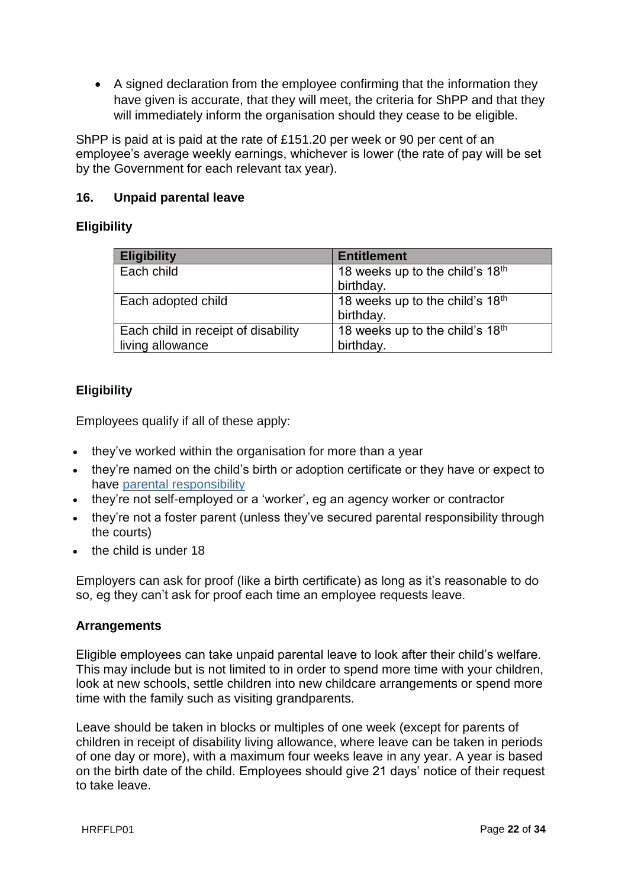A signed declaration from the employee confirming that the information they have given is accurate, that they will meet, the criteria for ShPP and that they will immediately inform the organisation should they cease to be eligible.

ShPP is paid at is paid at the rate of £151.20 per week or 90 per cent of an employee's average weekly earnings, whichever is lower (the rate of pay will be set by the Government for each relevant tax year).

## **16. Unpaid parental leave**

## **Eligibility**

| <b>Eligibility</b>                  | <b>Entitlement</b>              |
|-------------------------------------|---------------------------------|
| Each child                          | 18 weeks up to the child's 18th |
|                                     | birthday.                       |
| Each adopted child                  | 18 weeks up to the child's 18th |
|                                     | birthday.                       |
| Each child in receipt of disability | 18 weeks up to the child's 18th |
| living allowance                    | birthday.                       |

## **Eligibility**

Employees qualify if all of these apply:

- they've worked within the organisation for more than a year
- they're named on the child's birth or adoption certificate or they have or expect to have parental [responsibility](https://www.gov.uk/parental-rights-responsibilities/what-is-parental-responsibility)
- they're not self-employed or a 'worker', eg an agency worker or contractor
- they're not a foster parent (unless they've secured parental responsibility through the courts)
- the child is under 18

Employers can ask for proof (like a birth certificate) as long as it's reasonable to do so, eg they can't ask for proof each time an employee requests leave.

#### **Arrangements**

Eligible employees can take unpaid parental leave to look after their child's welfare. This may include but is not limited to in order to spend more time with your children, look at new schools, settle children into new childcare arrangements or spend more time with the family such as visiting grandparents.

Leave should be taken in blocks or multiples of one week (except for parents of children in receipt of disability living allowance, where leave can be taken in periods of one day or more), with a maximum four weeks leave in any year. A year is based on the birth date of the child. Employees should give 21 days' notice of their request to take leave.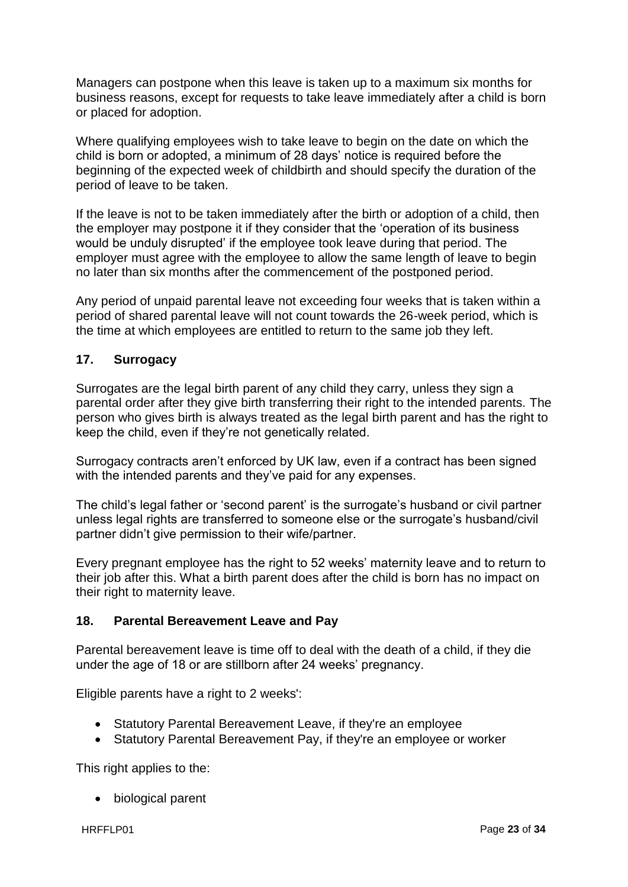Managers can postpone when this leave is taken up to a maximum six months for business reasons, except for requests to take leave immediately after a child is born or placed for adoption.

Where qualifying employees wish to take leave to begin on the date on which the child is born or adopted, a minimum of 28 days' notice is required before the beginning of the expected week of childbirth and should specify the duration of the period of leave to be taken.

If the leave is not to be taken immediately after the birth or adoption of a child, then the employer may postpone it if they consider that the 'operation of its business would be unduly disrupted' if the employee took leave during that period. The employer must agree with the employee to allow the same length of leave to begin no later than six months after the commencement of the postponed period.

Any period of unpaid parental leave not exceeding four weeks that is taken within a period of shared parental leave will not count towards the 26-week period, which is the time at which employees are entitled to return to the same job they left.

#### **17. Surrogacy**

Surrogates are the legal birth parent of any child they carry, unless they sign a parental order after they give birth transferring their right to the intended parents. The person who gives birth is always treated as the legal birth parent and has the right to keep the child, even if they're not genetically related.

Surrogacy contracts aren't enforced by UK law, even if a contract has been signed with the intended parents and they've paid for any expenses.

The child's legal father or 'second parent' is the surrogate's husband or civil partner unless legal rights are transferred to someone else or the surrogate's husband/civil partner didn't give permission to their wife/partner.

Every pregnant employee has the right to 52 weeks' maternity leave and to return to their job after this. What a birth parent does after the child is born has no impact on their right to maternity leave.

#### **18. Parental Bereavement Leave and Pay**

Parental bereavement leave is time off to deal with the death of a child, if they die under the age of 18 or are stillborn after 24 weeks' pregnancy.

Eligible parents have a right to 2 weeks':

- Statutory Parental Bereavement Leave, if they're an employee
- Statutory Parental Bereavement Pay, if they're an employee or worker

This right applies to the:

biological parent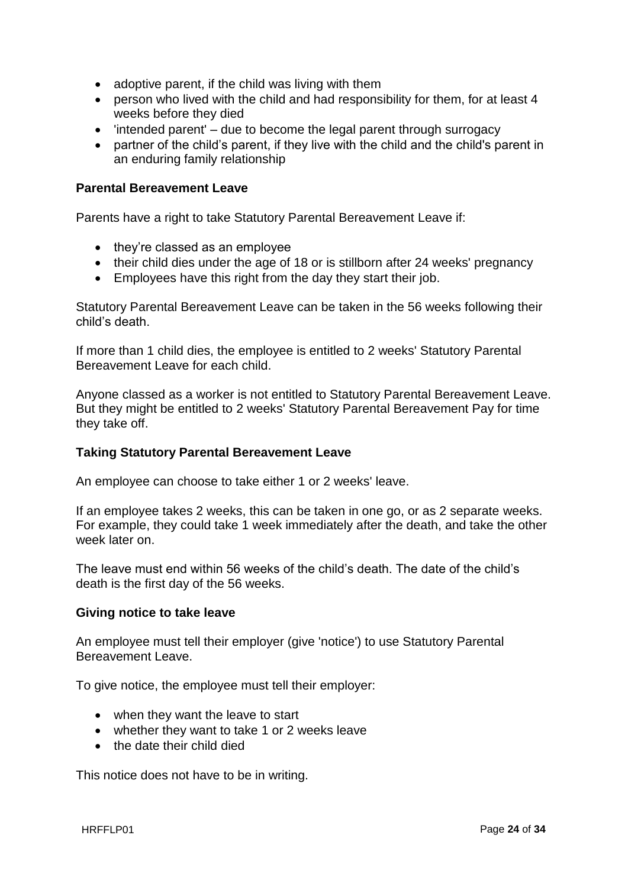- adoptive parent, if the child was living with them
- person who lived with the child and had responsibility for them, for at least 4 weeks before they died
- 'intended parent' due to become the legal parent through surrogacy
- partner of the child's parent, if they live with the child and the child's parent in an enduring family relationship

#### **Parental Bereavement Leave**

Parents have a right to take Statutory Parental Bereavement Leave if:

- they're classed as an employee
- their child dies under the age of 18 or is stillborn after 24 weeks' pregnancy
- Employees have this right from the day they start their job.

Statutory Parental Bereavement Leave can be taken in the 56 weeks following their child's death.

If more than 1 child dies, the employee is entitled to 2 weeks' Statutory Parental Bereavement Leave for each child.

Anyone classed as a worker is not entitled to Statutory Parental Bereavement Leave. But they might be entitled to 2 weeks' Statutory Parental Bereavement Pay for time they take off.

#### **Taking Statutory Parental Bereavement Leave**

An employee can choose to take either 1 or 2 weeks' leave.

If an employee takes 2 weeks, this can be taken in one go, or as 2 separate weeks. For example, they could take 1 week immediately after the death, and take the other week later on.

The leave must end within 56 weeks of the child's death. The date of the child's death is the first day of the 56 weeks.

#### **Giving notice to take leave**

An employee must tell their employer (give 'notice') to use Statutory Parental Bereavement Leave.

To give notice, the employee must tell their employer:

- when they want the leave to start
- whether they want to take 1 or 2 weeks leave
- the date their child died

This notice does not have to be in writing.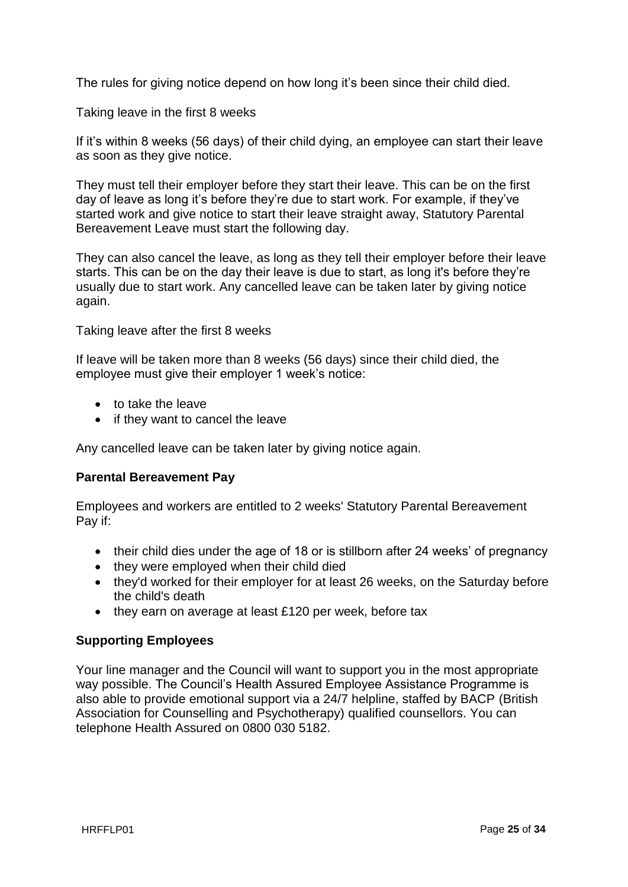The rules for giving notice depend on how long it's been since their child died.

Taking leave in the first 8 weeks

If it's within 8 weeks (56 days) of their child dying, an employee can start their leave as soon as they give notice.

They must tell their employer before they start their leave. This can be on the first day of leave as long it's before they're due to start work. For example, if they've started work and give notice to start their leave straight away, Statutory Parental Bereavement Leave must start the following day.

They can also cancel the leave, as long as they tell their employer before their leave starts. This can be on the day their leave is due to start, as long it's before they're usually due to start work. Any cancelled leave can be taken later by giving notice again.

Taking leave after the first 8 weeks

If leave will be taken more than 8 weeks (56 days) since their child died, the employee must give their employer 1 week's notice:

- to take the leave
- if they want to cancel the leave

Any cancelled leave can be taken later by giving notice again.

#### **Parental Bereavement Pay**

Employees and workers are entitled to 2 weeks' Statutory Parental Bereavement Pay if:

- their child dies under the age of 18 or is stillborn after 24 weeks' of pregnancy
- they were employed when their child died
- they'd worked for their employer for at least 26 weeks, on the Saturday before the child's death
- $\bullet$  they earn on average at least £120 per week, before tax

#### **Supporting Employees**

Your line manager and the Council will want to support you in the most appropriate way possible. The Council's Health Assured Employee Assistance Programme is also able to provide emotional support via a 24/7 helpline, staffed by BACP (British Association for Counselling and Psychotherapy) qualified counsellors. You can telephone Health Assured on 0800 030 5182.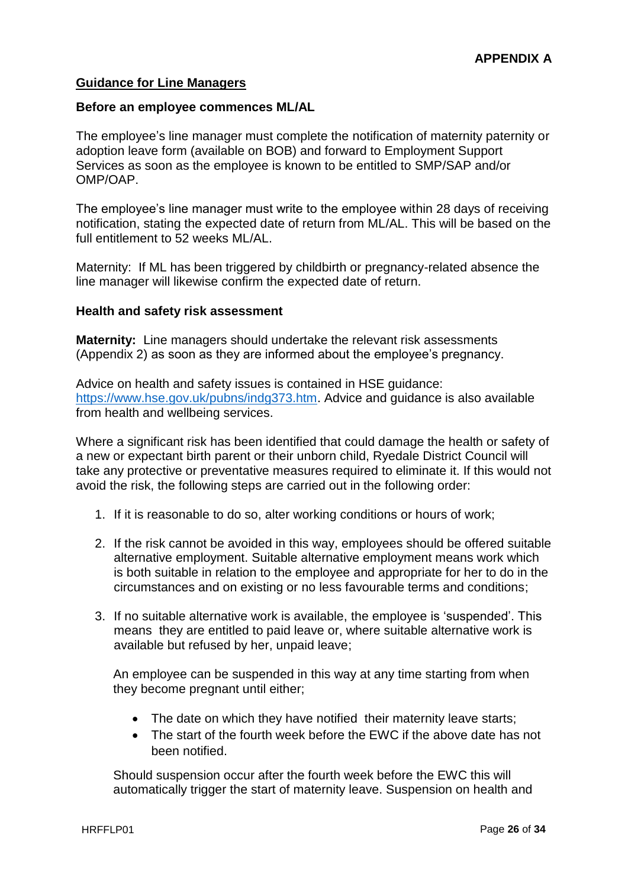#### **Guidance for Line Managers**

#### **Before an employee commences ML/AL**

The employee's line manager must complete the notification of maternity paternity or adoption leave form (available on BOB) and forward to Employment Support Services as soon as the employee is known to be entitled to SMP/SAP and/or OMP/OAP.

The employee's line manager must write to the employee within 28 days of receiving notification, stating the expected date of return from ML/AL. This will be based on the full entitlement to 52 weeks ML/AL.

Maternity: If ML has been triggered by childbirth or pregnancy-related absence the line manager will likewise confirm the expected date of return.

#### **Health and safety risk assessment**

**Maternity:** Line managers should undertake the relevant risk assessments (Appendix 2) as soon as they are informed about the employee's pregnancy.

Advice on health and safety issues is contained in HSE guidance: [https://www.hse.gov.uk/pubns/indg373.htm.](https://www.hse.gov.uk/pubns/indg373.htm) Advice and guidance is also available from health and wellbeing services.

Where a significant risk has been identified that could damage the health or safety of a new or expectant birth parent or their unborn child, Ryedale District Council will take any protective or preventative measures required to eliminate it. If this would not avoid the risk, the following steps are carried out in the following order:

- 1. If it is reasonable to do so, alter working conditions or hours of work;
- 2. If the risk cannot be avoided in this way, employees should be offered suitable alternative employment. Suitable alternative employment means work which is both suitable in relation to the employee and appropriate for her to do in the circumstances and on existing or no less favourable terms and conditions;
- 3. If no suitable alternative work is available, the employee is 'suspended'. This means they are entitled to paid leave or, where suitable alternative work is available but refused by her, unpaid leave;

An employee can be suspended in this way at any time starting from when they become pregnant until either;

- The date on which they have notified their maternity leave starts;
- The start of the fourth week before the EWC if the above date has not been notified.

Should suspension occur after the fourth week before the EWC this will automatically trigger the start of maternity leave. Suspension on health and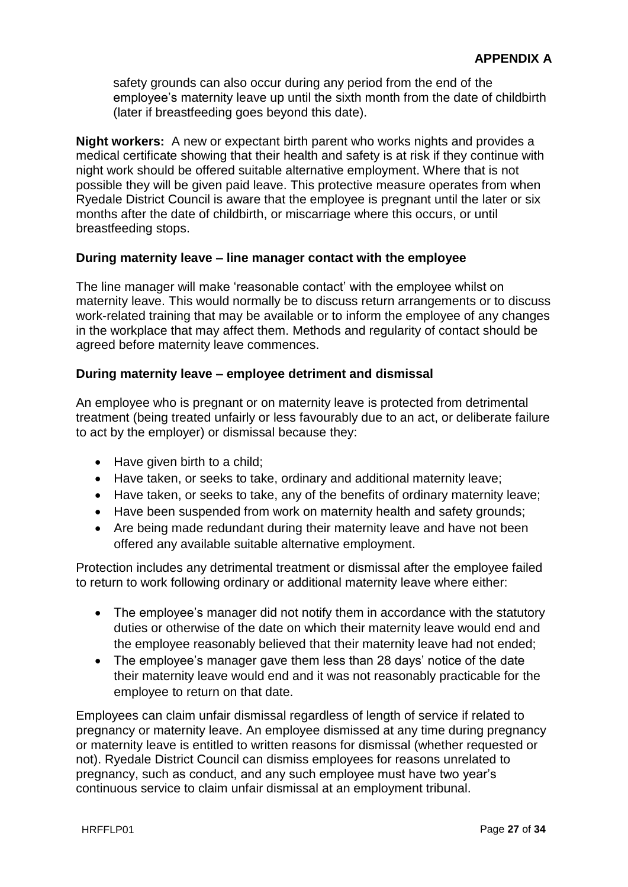safety grounds can also occur during any period from the end of the employee's maternity leave up until the sixth month from the date of childbirth (later if breastfeeding goes beyond this date).

**Night workers:** A new or expectant birth parent who works nights and provides a medical certificate showing that their health and safety is at risk if they continue with night work should be offered suitable alternative employment. Where that is not possible they will be given paid leave. This protective measure operates from when Ryedale District Council is aware that the employee is pregnant until the later or six months after the date of childbirth, or miscarriage where this occurs, or until breastfeeding stops.

#### **During maternity leave – line manager contact with the employee**

The line manager will make 'reasonable contact' with the employee whilst on maternity leave. This would normally be to discuss return arrangements or to discuss work-related training that may be available or to inform the employee of any changes in the workplace that may affect them. Methods and regularity of contact should be agreed before maternity leave commences.

#### **During maternity leave – employee detriment and dismissal**

An employee who is pregnant or on maternity leave is protected from detrimental treatment (being treated unfairly or less favourably due to an act, or deliberate failure to act by the employer) or dismissal because they:

- Have given birth to a child;
- Have taken, or seeks to take, ordinary and additional maternity leave;
- Have taken, or seeks to take, any of the benefits of ordinary maternity leave;
- Have been suspended from work on maternity health and safety grounds;
- Are being made redundant during their maternity leave and have not been offered any available suitable alternative employment.

Protection includes any detrimental treatment or dismissal after the employee failed to return to work following ordinary or additional maternity leave where either:

- The employee's manager did not notify them in accordance with the statutory duties or otherwise of the date on which their maternity leave would end and the employee reasonably believed that their maternity leave had not ended;
- The employee's manager gave them less than 28 days' notice of the date their maternity leave would end and it was not reasonably practicable for the employee to return on that date.

Employees can claim unfair dismissal regardless of length of service if related to pregnancy or maternity leave. An employee dismissed at any time during pregnancy or maternity leave is entitled to written reasons for dismissal (whether requested or not). Ryedale District Council can dismiss employees for reasons unrelated to pregnancy, such as conduct, and any such employee must have two year's continuous service to claim unfair dismissal at an employment tribunal.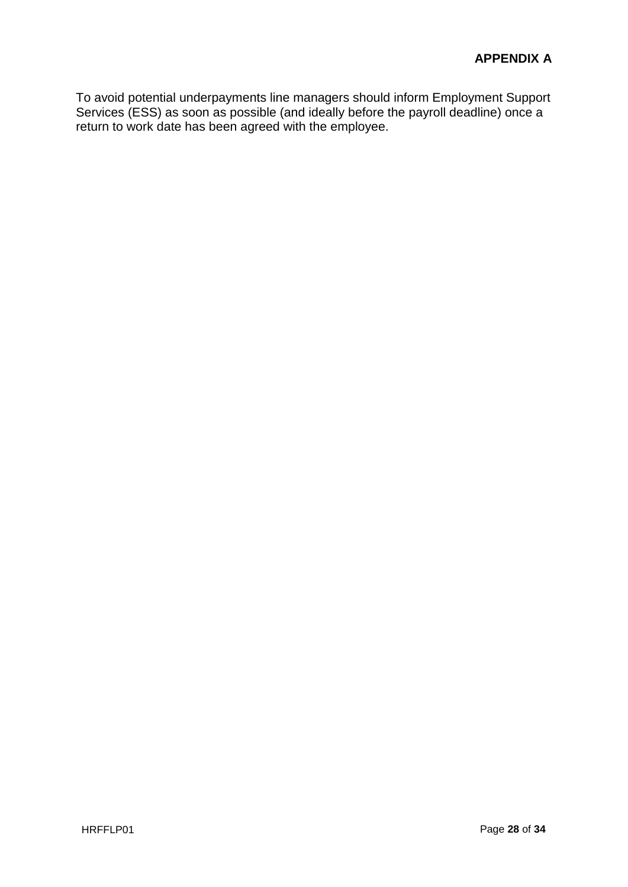To avoid potential underpayments line managers should inform Employment Support Services (ESS) as soon as possible (and ideally before the payroll deadline) once a return to work date has been agreed with the employee.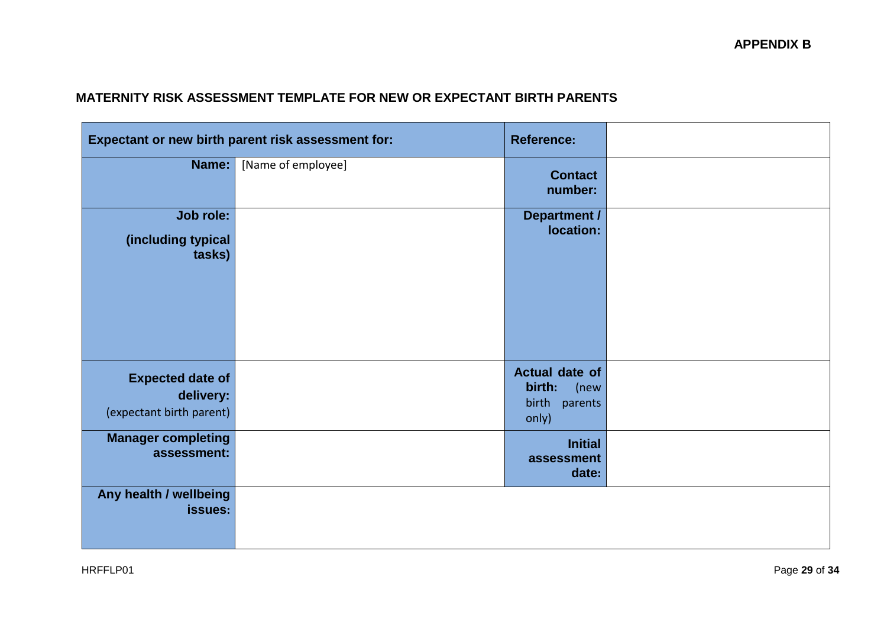## **MATERNITY RISK ASSESSMENT TEMPLATE FOR NEW OR EXPECTANT BIRTH PARENTS**

|                                                                  | Expectant or new birth parent risk assessment for: | <b>Reference:</b>                                                 |  |
|------------------------------------------------------------------|----------------------------------------------------|-------------------------------------------------------------------|--|
| Name:                                                            | [Name of employee]                                 | <b>Contact</b><br>number:                                         |  |
| Job role:<br>(including typical<br>tasks)                        |                                                    | <b>Department /</b><br>location:                                  |  |
| <b>Expected date of</b><br>delivery:<br>(expectant birth parent) |                                                    | <b>Actual date of</b><br>birth:<br>(new<br>birth parents<br>only) |  |
| <b>Manager completing</b><br>assessment:                         |                                                    | <b>Initial</b><br>assessment<br>date:                             |  |
| Any health / wellbeing<br>issues:                                |                                                    |                                                                   |  |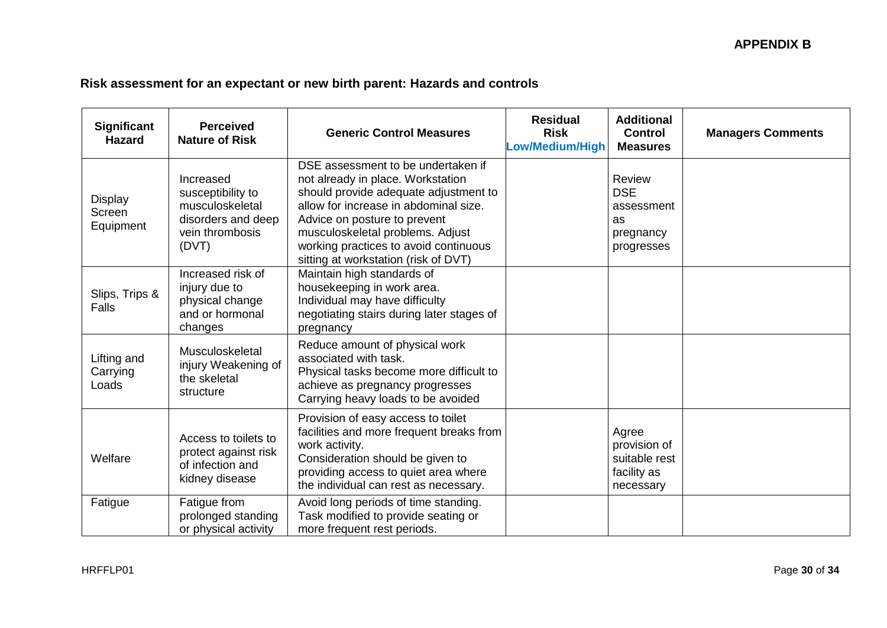# **Risk assessment for an expectant or new birth parent: Hazards and controls**

| Significant<br><b>Hazard</b>          | <b>Perceived</b><br><b>Nature of Risk</b>                                                           | <b>Generic Control Measures</b>                                                                                                                                                                                                                                                                                | <b>Residual</b><br><b>Risk</b><br>.ow/Medium/High | <b>Additional</b><br><b>Control</b><br><b>Measures</b>              | <b>Managers Comments</b> |
|---------------------------------------|-----------------------------------------------------------------------------------------------------|----------------------------------------------------------------------------------------------------------------------------------------------------------------------------------------------------------------------------------------------------------------------------------------------------------------|---------------------------------------------------|---------------------------------------------------------------------|--------------------------|
| <b>Display</b><br>Screen<br>Equipment | Increased<br>susceptibility to<br>musculoskeletal<br>disorders and deep<br>vein thrombosis<br>(DVT) | DSE assessment to be undertaken if<br>not already in place. Workstation<br>should provide adequate adjustment to<br>allow for increase in abdominal size.<br>Advice on posture to prevent<br>musculoskeletal problems. Adjust<br>working practices to avoid continuous<br>sitting at workstation (risk of DVT) |                                                   | Review<br><b>DSE</b><br>assessment<br>as<br>pregnancy<br>progresses |                          |
| Slips, Trips &<br><b>Falls</b>        | Increased risk of<br>injury due to<br>physical change<br>and or hormonal<br>changes                 | Maintain high standards of<br>housekeeping in work area.<br>Individual may have difficulty<br>negotiating stairs during later stages of<br>pregnancy                                                                                                                                                           |                                                   |                                                                     |                          |
| Lifting and<br>Carrying<br>Loads      | Musculoskeletal<br>injury Weakening of<br>the skeletal<br>structure                                 | Reduce amount of physical work<br>associated with task.<br>Physical tasks become more difficult to<br>achieve as pregnancy progresses<br>Carrying heavy loads to be avoided                                                                                                                                    |                                                   |                                                                     |                          |
| Welfare                               | Access to toilets to<br>protect against risk<br>of infection and<br>kidney disease                  | Provision of easy access to toilet<br>facilities and more frequent breaks from<br>work activity.<br>Consideration should be given to<br>providing access to quiet area where<br>the individual can rest as necessary.                                                                                          |                                                   | Agree<br>provision of<br>suitable rest<br>facility as<br>necessary  |                          |
| Fatigue                               | Fatigue from<br>prolonged standing<br>or physical activity                                          | Avoid long periods of time standing.<br>Task modified to provide seating or<br>more frequent rest periods.                                                                                                                                                                                                     |                                                   |                                                                     |                          |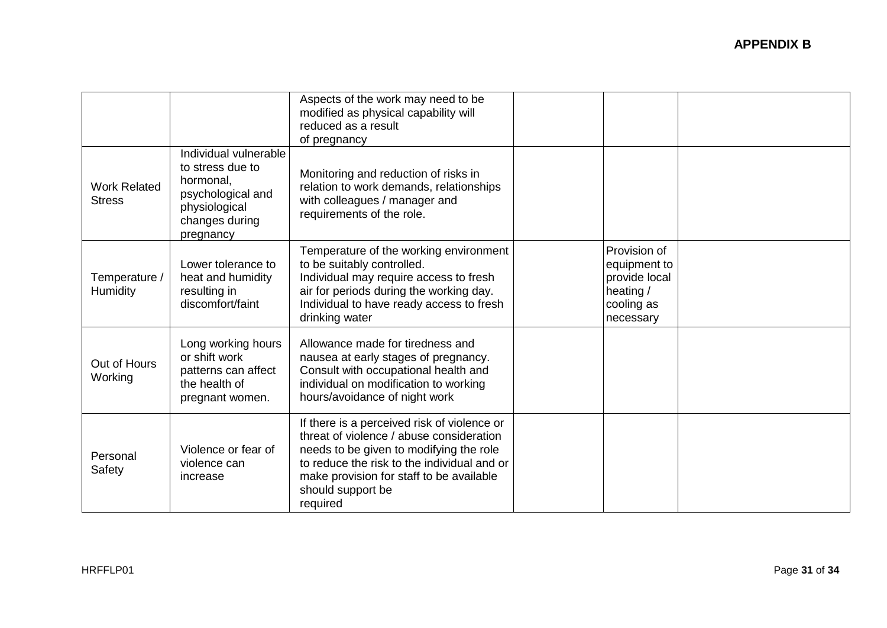|                                      |                                                                                                                             | Aspects of the work may need to be<br>modified as physical capability will<br>reduced as a result<br>of pregnancy                                                                                                                                              |                                                                                       |  |
|--------------------------------------|-----------------------------------------------------------------------------------------------------------------------------|----------------------------------------------------------------------------------------------------------------------------------------------------------------------------------------------------------------------------------------------------------------|---------------------------------------------------------------------------------------|--|
| <b>Work Related</b><br><b>Stress</b> | Individual vulnerable<br>to stress due to<br>hormonal,<br>psychological and<br>physiological<br>changes during<br>pregnancy | Monitoring and reduction of risks in<br>relation to work demands, relationships<br>with colleagues / manager and<br>requirements of the role.                                                                                                                  |                                                                                       |  |
| Temperature /<br>Humidity            | Lower tolerance to<br>heat and humidity<br>resulting in<br>discomfort/faint                                                 | Temperature of the working environment<br>to be suitably controlled.<br>Individual may require access to fresh<br>air for periods during the working day.<br>Individual to have ready access to fresh<br>drinking water                                        | Provision of<br>equipment to<br>provide local<br>heating /<br>cooling as<br>necessary |  |
| Out of Hours<br>Working              | Long working hours<br>or shift work<br>patterns can affect<br>the health of<br>pregnant women.                              | Allowance made for tiredness and<br>nausea at early stages of pregnancy.<br>Consult with occupational health and<br>individual on modification to working<br>hours/avoidance of night work                                                                     |                                                                                       |  |
| Personal<br>Safety                   | Violence or fear of<br>violence can<br>increase                                                                             | If there is a perceived risk of violence or<br>threat of violence / abuse consideration<br>needs to be given to modifying the role<br>to reduce the risk to the individual and or<br>make provision for staff to be available<br>should support be<br>required |                                                                                       |  |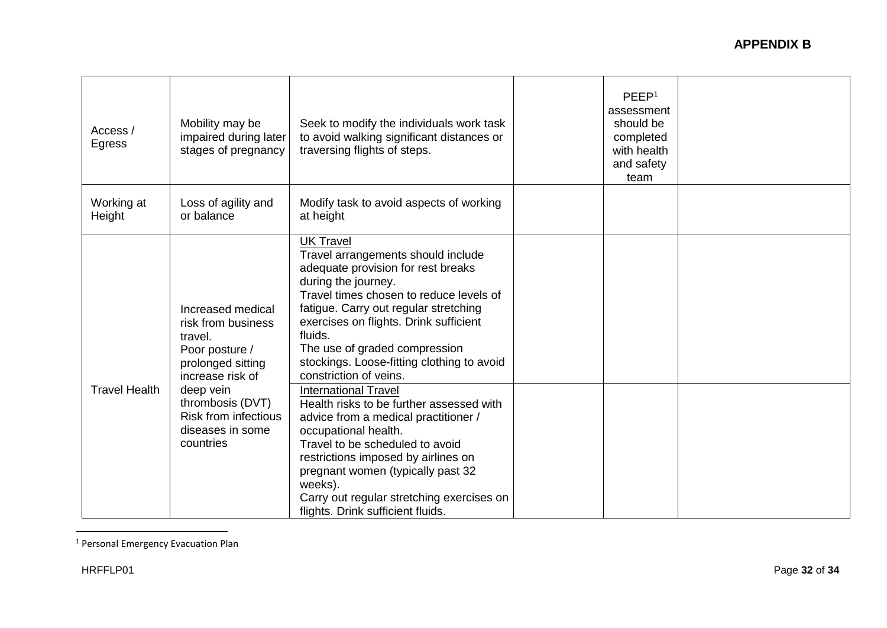| Access /<br>Egress   | Mobility may be<br>impaired during later<br>stages of pregnancy                                               | Seek to modify the individuals work task<br>to avoid walking significant distances or<br>traversing flights of steps.                                                                                                                                                                                                                                                 | PEEP <sup>1</sup><br>assessment<br>should be<br>completed<br>with health<br>and safety<br>team |  |
|----------------------|---------------------------------------------------------------------------------------------------------------|-----------------------------------------------------------------------------------------------------------------------------------------------------------------------------------------------------------------------------------------------------------------------------------------------------------------------------------------------------------------------|------------------------------------------------------------------------------------------------|--|
| Working at<br>Height | Loss of agility and<br>or balance                                                                             | Modify task to avoid aspects of working<br>at height                                                                                                                                                                                                                                                                                                                  |                                                                                                |  |
|                      | Increased medical<br>risk from business<br>travel.<br>Poor posture /<br>prolonged sitting<br>increase risk of | <b>UK Travel</b><br>Travel arrangements should include<br>adequate provision for rest breaks<br>during the journey.<br>Travel times chosen to reduce levels of<br>fatigue. Carry out regular stretching<br>exercises on flights. Drink sufficient<br>fluids.<br>The use of graded compression<br>stockings. Loose-fitting clothing to avoid<br>constriction of veins. |                                                                                                |  |
| <b>Travel Health</b> | deep vein<br>thrombosis (DVT)<br><b>Risk from infectious</b><br>diseases in some<br>countries                 | <b>International Travel</b><br>Health risks to be further assessed with<br>advice from a medical practitioner /<br>occupational health.<br>Travel to be scheduled to avoid<br>restrictions imposed by airlines on<br>pregnant women (typically past 32<br>weeks).<br>Carry out regular stretching exercises on<br>flights. Drink sufficient fluids.                   |                                                                                                |  |

<sup>&</sup>lt;sup>1</sup> Personal Emergency Evacuation Plan

 $\overline{a}$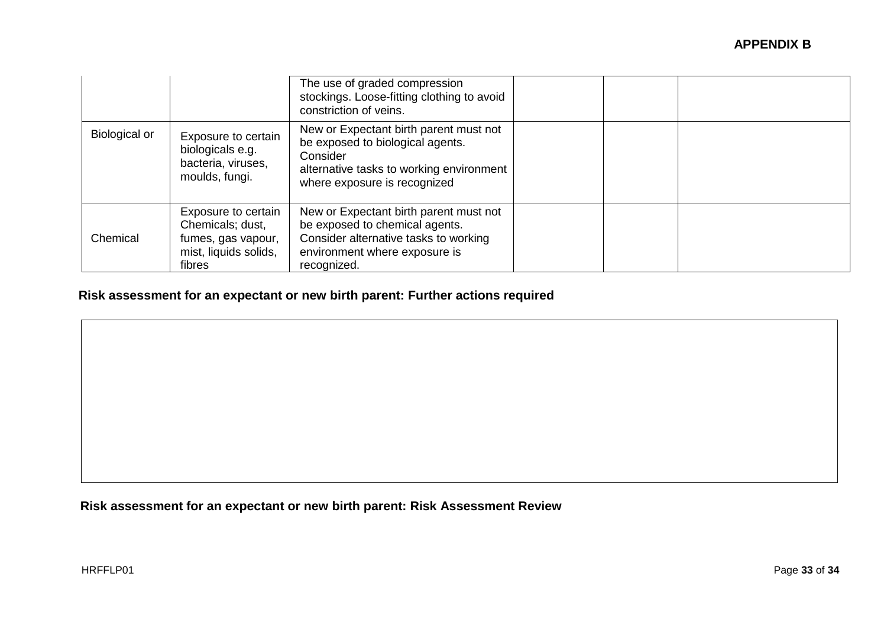|               |                                                                                                  | The use of graded compression<br>stockings. Loose-fitting clothing to avoid<br>constriction of veins.                                                              |  |
|---------------|--------------------------------------------------------------------------------------------------|--------------------------------------------------------------------------------------------------------------------------------------------------------------------|--|
| Biological or | Exposure to certain<br>biologicals e.g.<br>bacteria, viruses,<br>moulds, fungi.                  | New or Expectant birth parent must not<br>be exposed to biological agents.<br>Consider<br>alternative tasks to working environment<br>where exposure is recognized |  |
| Chemical      | Exposure to certain<br>Chemicals; dust,<br>fumes, gas vapour,<br>mist, liquids solids,<br>fibres | New or Expectant birth parent must not<br>be exposed to chemical agents.<br>Consider alternative tasks to working<br>environment where exposure is<br>recognized.  |  |

# **Risk assessment for an expectant or new birth parent: Further actions required**

**Risk assessment for an expectant or new birth parent: Risk Assessment Review**